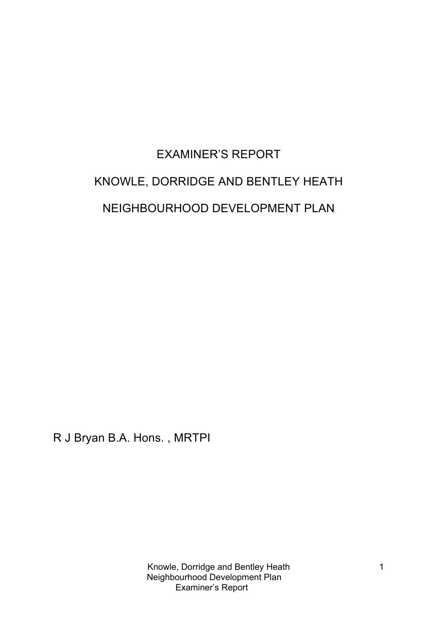# EXAMINER'S REPORT KNOWLE, DORRIDGE AND BENTLEY HEATH NEIGHBOURHOOD DEVELOPMENT PLAN

R J Bryan B.A. Hons. , MRTPI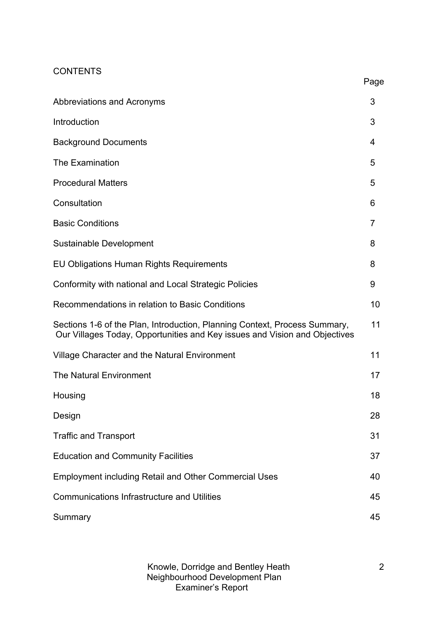# **CONTENTS**

|                                                                                                                                                          | Page |
|----------------------------------------------------------------------------------------------------------------------------------------------------------|------|
| Abbreviations and Acronyms                                                                                                                               | 3    |
| Introduction                                                                                                                                             | 3    |
| <b>Background Documents</b>                                                                                                                              | 4    |
| <b>The Examination</b>                                                                                                                                   | 5    |
| <b>Procedural Matters</b>                                                                                                                                | 5    |
| Consultation                                                                                                                                             | 6    |
| <b>Basic Conditions</b>                                                                                                                                  | 7    |
| Sustainable Development                                                                                                                                  | 8    |
| <b>EU Obligations Human Rights Requirements</b>                                                                                                          | 8    |
| Conformity with national and Local Strategic Policies                                                                                                    | 9    |
| Recommendations in relation to Basic Conditions                                                                                                          | 10   |
| Sections 1-6 of the Plan, Introduction, Planning Context, Process Summary,<br>Our Villages Today, Opportunities and Key issues and Vision and Objectives | 11   |
| Village Character and the Natural Environment                                                                                                            | 11   |
| <b>The Natural Environment</b>                                                                                                                           | 17   |
| Housing                                                                                                                                                  | 18   |
| Design                                                                                                                                                   | 28   |
| <b>Traffic and Transport</b>                                                                                                                             | 31   |
| <b>Education and Community Facilities</b>                                                                                                                | 37   |
| <b>Employment including Retail and Other Commercial Uses</b>                                                                                             | 40   |
| <b>Communications Infrastructure and Utilities</b>                                                                                                       | 45   |
| Summary                                                                                                                                                  | 45   |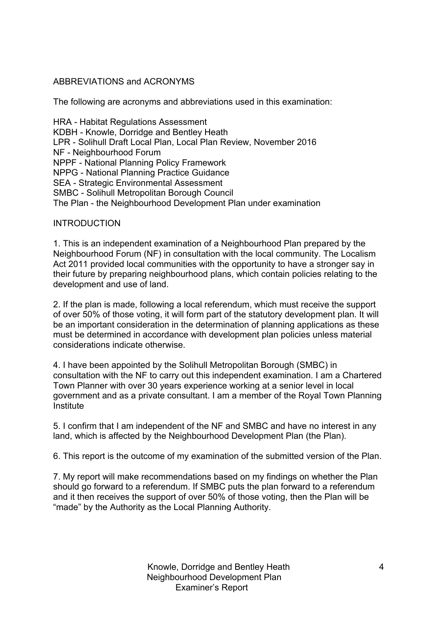# ABBREVIATIONS and ACRONYMS

The following are acronyms and abbreviations used in this examination:

HRA - Habitat Regulations Assessment KDBH - Knowle, Dorridge and Bentley Heath LPR - Solihull Draft Local Plan, Local Plan Review, November 2016 NF - Neighbourhood Forum NPPF - National Planning Policy Framework NPPG - National Planning Practice Guidance SEA - Strategic Environmental Assessment SMBC - Solihull Metropolitan Borough Council The Plan - the Neighbourhood Development Plan under examination

# INTRODUCTION

1. This is an independent examination of a Neighbourhood Plan prepared by the Neighbourhood Forum (NF) in consultation with the local community. The Localism Act 2011 provided local communities with the opportunity to have a stronger say in their future by preparing neighbourhood plans, which contain policies relating to the development and use of land.

2. If the plan is made, following a local referendum, which must receive the support of over 50% of those voting, it will form part of the statutory development plan. It will be an important consideration in the determination of planning applications as these must be determined in accordance with development plan policies unless material considerations indicate otherwise.

4. I have been appointed by the Solihull Metropolitan Borough (SMBC) in consultation with the NF to carry out this independent examination. I am a Chartered Town Planner with over 30 years experience working at a senior level in local government and as a private consultant. I am a member of the Royal Town Planning **Institute** 

5. I confirm that I am independent of the NF and SMBC and have no interest in any land, which is affected by the Neighbourhood Development Plan (the Plan).

6. This report is the outcome of my examination of the submitted version of the Plan.

7. My report will make recommendations based on my findings on whether the Plan should go forward to a referendum. If SMBC puts the plan forward to a referendum and it then receives the support of over 50% of those voting, then the Plan will be "made" by the Authority as the Local Planning Authority.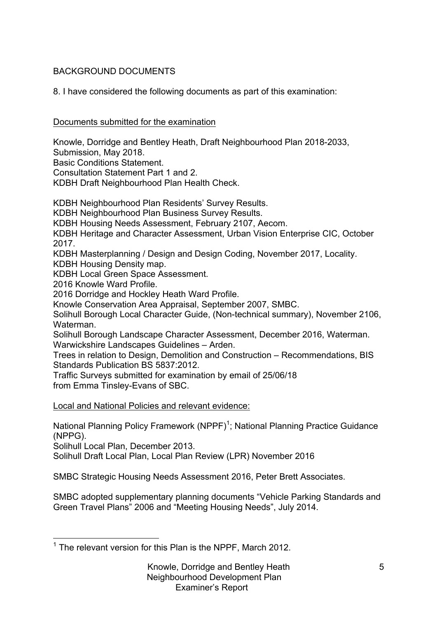# BACKGROUND DOCUMENTS

8. I have considered the following documents as part of this examination:

# Documents submitted for the examination

Knowle, Dorridge and Bentley Heath, Draft Neighbourhood Plan 2018-2033,

Submission, May 2018.

Basic Conditions Statement.

Consultation Statement Part 1 and 2.

KDBH Draft Neighbourhood Plan Health Check.

KDBH Neighbourhood Plan Residents' Survey Results.

KDBH Neighbourhood Plan Business Survey Results.

KDBH Housing Needs Assessment, February 2107, Aecom.

KDBH Heritage and Character Assessment, Urban Vision Enterprise CIC, October 2017.

KDBH Masterplanning / Design and Design Coding, November 2017, Locality.

KDBH Housing Density map.

KDBH Local Green Space Assessment.

2016 Knowle Ward Profile.

2016 Dorridge and Hockley Heath Ward Profile.

Knowle Conservation Area Appraisal, September 2007, SMBC.

Solihull Borough Local Character Guide, (Non-technical summary), November 2106, Waterman.

Solihull Borough Landscape Character Assessment, December 2016, Waterman. Warwickshire Landscapes Guidelines – Arden.

Trees in relation to Design, Demolition and Construction – Recommendations, BIS Standards Publication BS 5837:2012.

Traffic Surveys submitted for examination by email of 25/06/18 from Emma Tinsley-Evans of SBC.

Local and National Policies and relevant evidence:

National Planning Policy Framework (NPPF)<sup>1</sup>; National Planning Practice Guidance (NPPG).

Solihull Local Plan, December 2013.

Solihull Draft Local Plan, Local Plan Review (LPR) November 2016

SMBC Strategic Housing Needs Assessment 2016, Peter Brett Associates.

SMBC adopted supplementary planning documents "Vehicle Parking Standards and Green Travel Plans" 2006 and "Meeting Housing Needs", July 2014.

 $1$  The relevant version for this Plan is the NPPF, March 2012.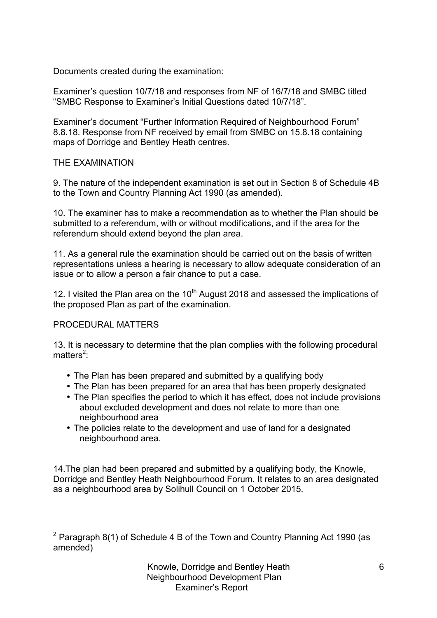# Documents created during the examination:

Examiner's question 10/7/18 and responses from NF of 16/7/18 and SMBC titled "SMBC Response to Examiner's Initial Questions dated 10/7/18".

Examiner's document "Further Information Required of Neighbourhood Forum" 8.8.18. Response from NF received by email from SMBC on 15.8.18 containing maps of Dorridge and Bentley Heath centres.

# THE EXAMINATION

9. The nature of the independent examination is set out in Section 8 of Schedule 4B to the Town and Country Planning Act 1990 (as amended).

10. The examiner has to make a recommendation as to whether the Plan should be submitted to a referendum, with or without modifications, and if the area for the referendum should extend beyond the plan area.

11. As a general rule the examination should be carried out on the basis of written representations unless a hearing is necessary to allow adequate consideration of an issue or to allow a person a fair chance to put a case.

12. I visited the Plan area on the  $10<sup>th</sup>$  August 2018 and assessed the implications of the proposed Plan as part of the examination.

# PROCEDURAL MATTERS

13. It is necessary to determine that the plan complies with the following procedural matters<sup>2</sup>:

- The Plan has been prepared and submitted by a qualifying body
- The Plan has been prepared for an area that has been properly designated
- The Plan specifies the period to which it has effect, does not include provisions about excluded development and does not relate to more than one neighbourhood area
- The policies relate to the development and use of land for a designated neighbourhood area.

14.The plan had been prepared and submitted by a qualifying body, the Knowle, Dorridge and Bentley Heath Neighbourhood Forum. It relates to an area designated as a neighbourhood area by Solihull Council on 1 October 2015.

 $2$  Paragraph 8(1) of Schedule 4 B of the Town and Country Planning Act 1990 (as amended)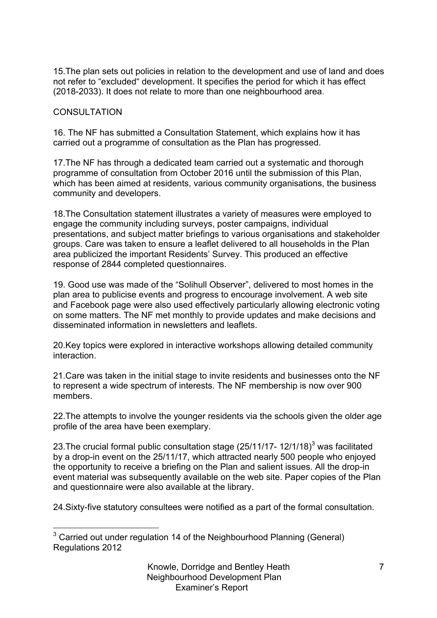15.The plan sets out policies in relation to the development and use of land and does not refer to "excluded" development. It specifies the period for which it has effect (2018-2033). It does not relate to more than one neighbourhood area.

# CONSULTATION

16. The NF has submitted a Consultation Statement, which explains how it has carried out a programme of consultation as the Plan has progressed.

17.The NF has through a dedicated team carried out a systematic and thorough programme of consultation from October 2016 until the submission of this Plan, which has been aimed at residents, various community organisations, the business community and developers.

18.The Consultation statement illustrates a variety of measures were employed to engage the community including surveys, poster campaigns, individual presentations, and subject matter briefings to various organisations and stakeholder groups. Care was taken to ensure a leaflet delivered to all households in the Plan area publicized the important Residents' Survey. This produced an effective response of 2844 completed questionnaires.

19. Good use was made of the "Solihull Observer", delivered to most homes in the plan area to publicise events and progress to encourage involvement. A web site and Facebook page were also used effectively particularly allowing electronic voting on some matters. The NF met monthly to provide updates and make decisions and disseminated information in newsletters and leaflets.

20.Key topics were explored in interactive workshops allowing detailed community interaction.

21.Care was taken in the initial stage to invite residents and businesses onto the NF to represent a wide spectrum of interests. The NF membership is now over 900 members.

22.The attempts to involve the younger residents via the schools given the older age profile of the area have been exemplary.

23. The crucial formal public consultation stage  $(25/11/17 - 12/1/18)^3$  was facilitated by a drop-in event on the 25/11/17, which attracted nearly 500 people who enjoyed the opportunity to receive a briefing on the Plan and salient issues. All the drop-in event material was subsequently available on the web site. Paper copies of the Plan and questionnaire were also available at the library.

24.Sixty-five statutory consultees were notified as a part of the formal consultation.

 $3$  Carried out under regulation 14 of the Neighbourhood Planning (General) Regulations 2012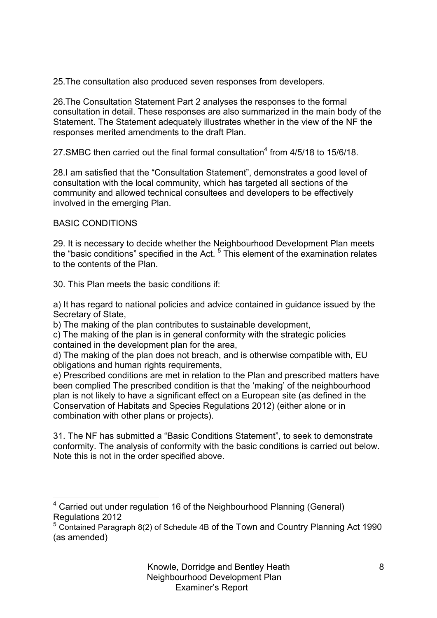25.The consultation also produced seven responses from developers.

26.The Consultation Statement Part 2 analyses the responses to the formal consultation in detail. These responses are also summarized in the main body of the Statement. The Statement adequately illustrates whether in the view of the NF the responses merited amendments to the draft Plan.

27. SMBC then carried out the final formal consultation<sup>4</sup> from 4/5/18 to 15/6/18

28.I am satisfied that the "Consultation Statement", demonstrates a good level of consultation with the local community, which has targeted all sections of the community and allowed technical consultees and developers to be effectively involved in the emerging Plan.

# BASIC CONDITIONS

29. It is necessary to decide whether the Neighbourhood Development Plan meets the "basic conditions" specified in the Act.  $5$  This element of the examination relates to the contents of the Plan.

30. This Plan meets the basic conditions if:

a) It has regard to national policies and advice contained in guidance issued by the Secretary of State,

b) The making of the plan contributes to sustainable development,

c) The making of the plan is in general conformity with the strategic policies contained in the development plan for the area,

d) The making of the plan does not breach, and is otherwise compatible with, EU obligations and human rights requirements,

e) Prescribed conditions are met in relation to the Plan and prescribed matters have been complied The prescribed condition is that the 'making' of the neighbourhood plan is not likely to have a significant effect on a European site (as defined in the Conservation of Habitats and Species Regulations 2012) (either alone or in combination with other plans or projects).

31. The NF has submitted a "Basic Conditions Statement", to seek to demonstrate conformity. The analysis of conformity with the basic conditions is carried out below. Note this is not in the order specified above.

<sup>&</sup>lt;sup>4</sup> Carried out under regulation 16 of the Neighbourhood Planning (General) Regulations 2012

<sup>&</sup>lt;sup>5</sup> Contained Paragraph 8(2) of Schedule 4B of the Town and Country Planning Act 1990 (as amended)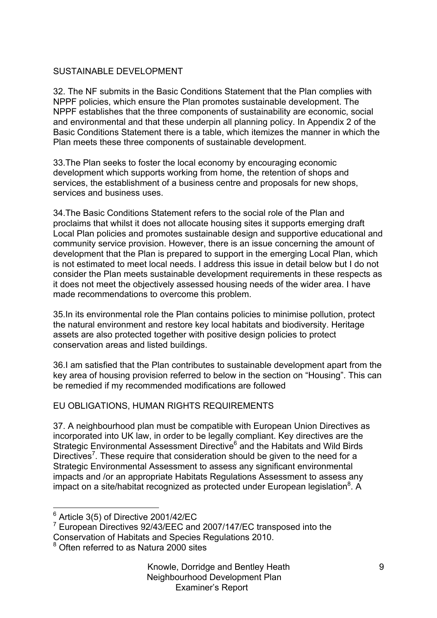# SUSTAINABLE DEVELOPMENT

32. The NF submits in the Basic Conditions Statement that the Plan complies with NPPF policies, which ensure the Plan promotes sustainable development. The NPPF establishes that the three components of sustainability are economic, social and environmental and that these underpin all planning policy. In Appendix 2 of the Basic Conditions Statement there is a table, which itemizes the manner in which the Plan meets these three components of sustainable development.

33.The Plan seeks to foster the local economy by encouraging economic development which supports working from home, the retention of shops and services, the establishment of a business centre and proposals for new shops, services and business uses.

34.The Basic Conditions Statement refers to the social role of the Plan and proclaims that whilst it does not allocate housing sites it supports emerging draft Local Plan policies and promotes sustainable design and supportive educational and community service provision. However, there is an issue concerning the amount of development that the Plan is prepared to support in the emerging Local Plan, which is not estimated to meet local needs. I address this issue in detail below but I do not consider the Plan meets sustainable development requirements in these respects as it does not meet the objectively assessed housing needs of the wider area. I have made recommendations to overcome this problem.

35.In its environmental role the Plan contains policies to minimise pollution, protect the natural environment and restore key local habitats and biodiversity. Heritage assets are also protected together with positive design policies to protect conservation areas and listed buildings.

36.I am satisfied that the Plan contributes to sustainable development apart from the key area of housing provision referred to below in the section on "Housing". This can be remedied if my recommended modifications are followed

# EU OBLIGATIONS, HUMAN RIGHTS REQUIREMENTS

37. A neighbourhood plan must be compatible with European Union Directives as incorporated into UK law, in order to be legally compliant. Key directives are the Strategic Environmental Assessment Directive<sup>6</sup> and the Habitats and Wild Birds Directives<sup>7</sup>. These require that consideration should be given to the need for a Strategic Environmental Assessment to assess any significant environmental impacts and /or an appropriate Habitats Regulations Assessment to assess any impact on a site/habitat recognized as protected under European legislation $8$ . A

 $6$  Article 3(5) of Directive 2001/42/EC

 $7$  European Directives 92/43/EEC and 2007/147/EC transposed into the

Conservation of Habitats and Species Regulations 2010.

<sup>8</sup> Often referred to as Natura 2000 sites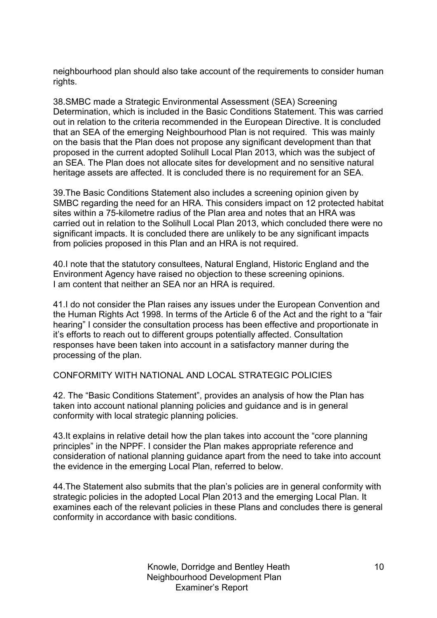neighbourhood plan should also take account of the requirements to consider human rights.

38.SMBC made a Strategic Environmental Assessment (SEA) Screening Determination, which is included in the Basic Conditions Statement. This was carried out in relation to the criteria recommended in the European Directive. It is concluded that an SEA of the emerging Neighbourhood Plan is not required. This was mainly on the basis that the Plan does not propose any significant development than that proposed in the current adopted Solihull Local Plan 2013, which was the subject of an SEA. The Plan does not allocate sites for development and no sensitive natural heritage assets are affected. It is concluded there is no requirement for an SEA.

39.The Basic Conditions Statement also includes a screening opinion given by SMBC regarding the need for an HRA. This considers impact on 12 protected habitat sites within a 75-kilometre radius of the Plan area and notes that an HRA was carried out in relation to the Solihull Local Plan 2013, which concluded there were no significant impacts. It is concluded there are unlikely to be any significant impacts from policies proposed in this Plan and an HRA is not required.

40.I note that the statutory consultees, Natural England, Historic England and the Environment Agency have raised no objection to these screening opinions. I am content that neither an SEA nor an HRA is required.

41.I do not consider the Plan raises any issues under the European Convention and the Human Rights Act 1998. In terms of the Article 6 of the Act and the right to a "fair hearing" I consider the consultation process has been effective and proportionate in it's efforts to reach out to different groups potentially affected. Consultation responses have been taken into account in a satisfactory manner during the processing of the plan.

CONFORMITY WITH NATIONAL AND LOCAL STRATEGIC POLICIES

42. The "Basic Conditions Statement", provides an analysis of how the Plan has taken into account national planning policies and guidance and is in general conformity with local strategic planning policies.

43.It explains in relative detail how the plan takes into account the "core planning principles" in the NPPF. I consider the Plan makes appropriate reference and consideration of national planning guidance apart from the need to take into account the evidence in the emerging Local Plan, referred to below.

44.The Statement also submits that the plan's policies are in general conformity with strategic policies in the adopted Local Plan 2013 and the emerging Local Plan. It examines each of the relevant policies in these Plans and concludes there is general conformity in accordance with basic conditions.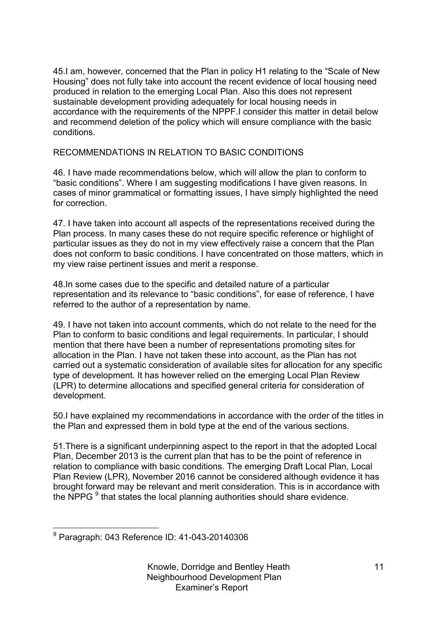45.I am, however, concerned that the Plan in policy H1 relating to the "Scale of New Housing" does not fully take into account the recent evidence of local housing need produced in relation to the emerging Local Plan. Also this does not represent sustainable development providing adequately for local housing needs in accordance with the requirements of the NPPF.I consider this matter in detail below and recommend deletion of the policy which will ensure compliance with the basic conditions.

RECOMMENDATIONS IN RELATION TO BASIC CONDITIONS

46. I have made recommendations below, which will allow the plan to conform to "basic conditions". Where I am suggesting modifications I have given reasons. In cases of minor grammatical or formatting issues, I have simply highlighted the need for correction.

47. I have taken into account all aspects of the representations received during the Plan process. In many cases these do not require specific reference or highlight of particular issues as they do not in my view effectively raise a concern that the Plan does not conform to basic conditions. I have concentrated on those matters, which in my view raise pertinent issues and merit a response.

48.In some cases due to the specific and detailed nature of a particular representation and its relevance to "basic conditions", for ease of reference, I have referred to the author of a representation by name.

49. I have not taken into account comments, which do not relate to the need for the Plan to conform to basic conditions and legal requirements. In particular, I should mention that there have been a number of representations promoting sites for allocation in the Plan. I have not taken these into account, as the Plan has not carried out a systematic consideration of available sites for allocation for any specific type of development. It has however relied on the emerging Local Plan Review (LPR) to determine allocations and specified general criteria for consideration of development.

50.I have explained my recommendations in accordance with the order of the titles in the Plan and expressed them in bold type at the end of the various sections.

51.There is a significant underpinning aspect to the report in that the adopted Local Plan, December 2013 is the current plan that has to be the point of reference in relation to compliance with basic conditions. The emerging Draft Local Plan, Local Plan Review (LPR), November 2016 cannot be considered although evidence it has brought forward may be relevant and merit consideration. This is in accordance with the NPPG <sup>9</sup> that states the local planning authorities should share evidence.

 <sup>9</sup> Paragraph: 043 Reference ID: 41-043-20140306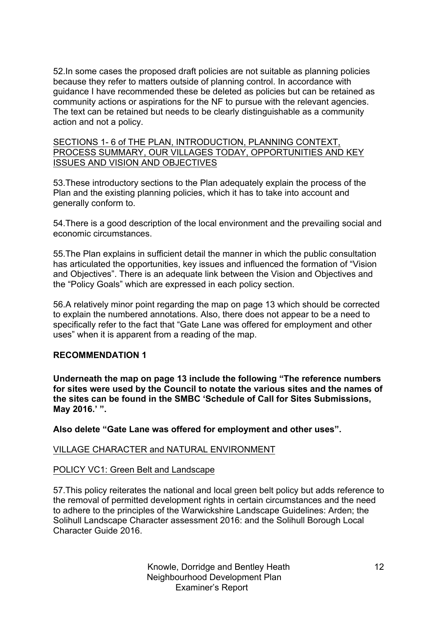52.In some cases the proposed draft policies are not suitable as planning policies because they refer to matters outside of planning control. In accordance with guidance I have recommended these be deleted as policies but can be retained as community actions or aspirations for the NF to pursue with the relevant agencies. The text can be retained but needs to be clearly distinguishable as a community action and not a policy.

SECTIONS 1- 6 of THE PLAN, INTRODUCTION, PLANNING CONTEXT, PROCESS SUMMARY, OUR VILLAGES TODAY, OPPORTUNITIES AND KEY ISSUES AND VISION AND OBJECTIVES

53.These introductory sections to the Plan adequately explain the process of the Plan and the existing planning policies, which it has to take into account and generally conform to.

54.There is a good description of the local environment and the prevailing social and economic circumstances.

55.The Plan explains in sufficient detail the manner in which the public consultation has articulated the opportunities, key issues and influenced the formation of "Vision and Objectives". There is an adequate link between the Vision and Objectives and the "Policy Goals" which are expressed in each policy section.

56.A relatively minor point regarding the map on page 13 which should be corrected to explain the numbered annotations. Also, there does not appear to be a need to specifically refer to the fact that "Gate Lane was offered for employment and other uses" when it is apparent from a reading of the map.

# **RECOMMENDATION 1**

**Underneath the map on page 13 include the following "The reference numbers for sites were used by the Council to notate the various sites and the names of the sites can be found in the SMBC 'Schedule of Call for Sites Submissions, May 2016.' ".**

**Also delete "Gate Lane was offered for employment and other uses".**

# VILLAGE CHARACTER and NATURAL ENVIRONMENT

# POLICY VC1: Green Belt and Landscape

57.This policy reiterates the national and local green belt policy but adds reference to the removal of permitted development rights in certain circumstances and the need to adhere to the principles of the Warwickshire Landscape Guidelines: Arden; the Solihull Landscape Character assessment 2016: and the Solihull Borough Local Character Guide 2016.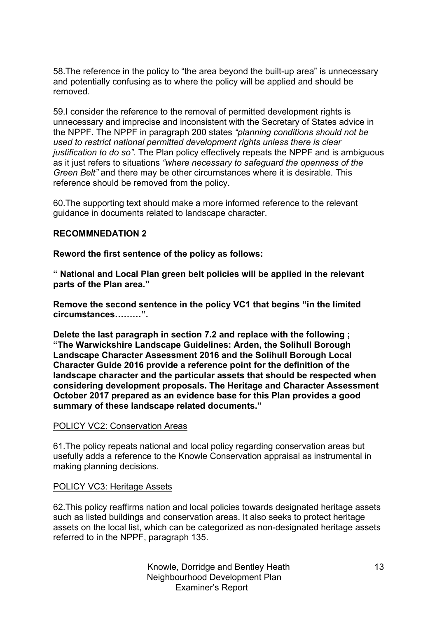58.The reference in the policy to "the area beyond the built-up area" is unnecessary and potentially confusing as to where the policy will be applied and should be removed.

59.I consider the reference to the removal of permitted development rights is unnecessary and imprecise and inconsistent with the Secretary of States advice in the NPPF. The NPPF in paragraph 200 states *"planning conditions should not be used to restrict national permitted development rights unless there is clear justification to do so".* The Plan policy effectively repeats the NPPF and is ambiguous as it just refers to situations *"where necessary to safeguard the openness of the Green Belt"* and there may be other circumstances where it is desirable*.* This reference should be removed from the policy.

60.The supporting text should make a more informed reference to the relevant guidance in documents related to landscape character.

#### **RECOMMNEDATION 2**

**Reword the first sentence of the policy as follows:**

**" National and Local Plan green belt policies will be applied in the relevant parts of the Plan area."**

**Remove the second sentence in the policy VC1 that begins "in the limited circumstances………".**

**Delete the last paragraph in section 7.2 and replace with the following ; "The Warwickshire Landscape Guidelines: Arden, the Solihull Borough Landscape Character Assessment 2016 and the Solihull Borough Local Character Guide 2016 provide a reference point for the definition of the landscape character and the particular assets that should be respected when considering development proposals. The Heritage and Character Assessment October 2017 prepared as an evidence base for this Plan provides a good summary of these landscape related documents."** 

#### POLICY VC2: Conservation Areas

61.The policy repeats national and local policy regarding conservation areas but usefully adds a reference to the Knowle Conservation appraisal as instrumental in making planning decisions.

#### POLICY VC3: Heritage Assets

62.This policy reaffirms nation and local policies towards designated heritage assets such as listed buildings and conservation areas. It also seeks to protect heritage assets on the local list, which can be categorized as non-designated heritage assets referred to in the NPPF, paragraph 135.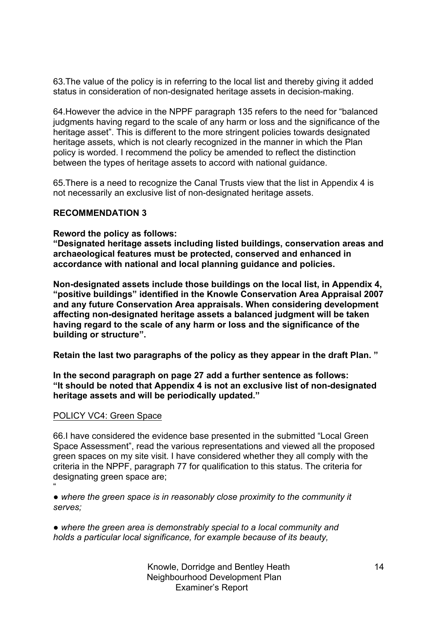63.The value of the policy is in referring to the local list and thereby giving it added status in consideration of non-designated heritage assets in decision-making.

64.However the advice in the NPPF paragraph 135 refers to the need for "balanced judgments having regard to the scale of any harm or loss and the significance of the heritage asset". This is different to the more stringent policies towards designated heritage assets, which is not clearly recognized in the manner in which the Plan policy is worded. I recommend the policy be amended to reflect the distinction between the types of heritage assets to accord with national guidance.

65.There is a need to recognize the Canal Trusts view that the list in Appendix 4 is not necessarily an exclusive list of non-designated heritage assets.

#### **RECOMMENDATION 3**

**Reword the policy as follows:**

**"Designated heritage assets including listed buildings, conservation areas and archaeological features must be protected, conserved and enhanced in accordance with national and local planning guidance and policies.**

**Non-designated assets include those buildings on the local list, in Appendix 4, "positive buildings" identified in the Knowle Conservation Area Appraisal 2007 and any future Conservation Area appraisals. When considering development affecting non-designated heritage assets a balanced judgment will be taken having regard to the scale of any harm or loss and the significance of the building or structure".**

**Retain the last two paragraphs of the policy as they appear in the draft Plan. "**

**In the second paragraph on page 27 add a further sentence as follows: "It should be noted that Appendix 4 is not an exclusive list of non-designated heritage assets and will be periodically updated."**

#### POLICY VC4: Green Space

"

66.I have considered the evidence base presented in the submitted "Local Green Space Assessment", read the various representations and viewed all the proposed green spaces on my site visit. I have considered whether they all comply with the criteria in the NPPF, paragraph 77 for qualification to this status. The criteria for designating green space are;

*● where the green space is in reasonably close proximity to the community it serves;*

*● where the green area is demonstrably special to a local community and holds a particular local significance, for example because of its beauty,*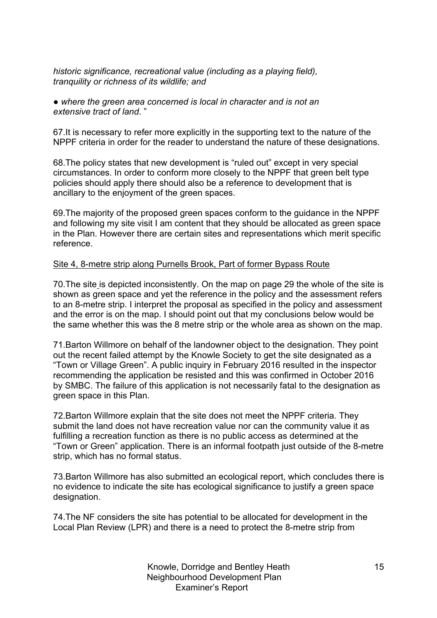*historic significance, recreational value (including as a playing field), tranquility or richness of its wildlife; and*

*● where the green area concerned is local in character and is not an extensive tract of land*. "

67.It is necessary to refer more explicitly in the supporting text to the nature of the NPPF criteria in order for the reader to understand the nature of these designations.

68.The policy states that new development is "ruled out" except in very special circumstances. In order to conform more closely to the NPPF that green belt type policies should apply there should also be a reference to development that is ancillary to the enjoyment of the green spaces.

69.The majority of the proposed green spaces conform to the guidance in the NPPF and following my site visit I am content that they should be allocated as green space in the Plan. However there are certain sites and representations which merit specific reference.

#### Site 4, 8-metre strip along Purnells Brook, Part of former Bypass Route

70.The site is depicted inconsistently. On the map on page 29 the whole of the site is shown as green space and yet the reference in the policy and the assessment refers to an 8-metre strip. I interpret the proposal as specified in the policy and assessment and the error is on the map. I should point out that my conclusions below would be the same whether this was the 8 metre strip or the whole area as shown on the map.

71.Barton Willmore on behalf of the landowner object to the designation. They point out the recent failed attempt by the Knowle Society to get the site designated as a "Town or Village Green". A public inquiry in February 2016 resulted in the inspector recommending the application be resisted and this was confirmed in October 2016 by SMBC. The failure of this application is not necessarily fatal to the designation as green space in this Plan.

72.Barton Willmore explain that the site does not meet the NPPF criteria. They submit the land does not have recreation value nor can the community value it as fulfilling a recreation function as there is no public access as determined at the "Town or Green" application. There is an informal footpath just outside of the 8-metre strip, which has no formal status.

73.Barton Willmore has also submitted an ecological report, which concludes there is no evidence to indicate the site has ecological significance to justify a green space designation.

74.The NF considers the site has potential to be allocated for development in the Local Plan Review (LPR) and there is a need to protect the 8-metre strip from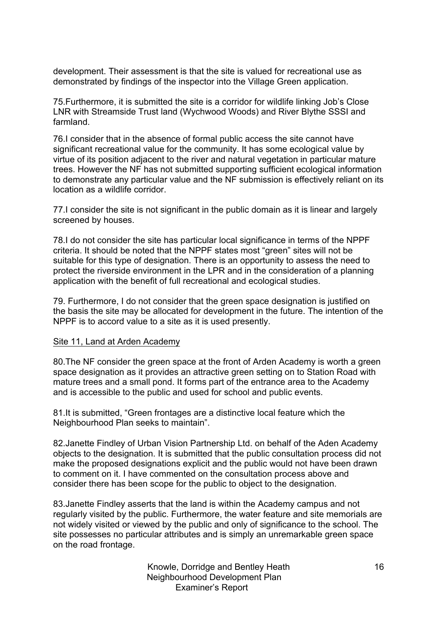development. Their assessment is that the site is valued for recreational use as demonstrated by findings of the inspector into the Village Green application.

75.Furthermore, it is submitted the site is a corridor for wildlife linking Job's Close LNR with Streamside Trust land (Wychwood Woods) and River Blythe SSSI and farmland.

76.I consider that in the absence of formal public access the site cannot have significant recreational value for the community. It has some ecological value by virtue of its position adjacent to the river and natural vegetation in particular mature trees. However the NF has not submitted supporting sufficient ecological information to demonstrate any particular value and the NF submission is effectively reliant on its location as a wildlife corridor.

77.I consider the site is not significant in the public domain as it is linear and largely screened by houses.

78.I do not consider the site has particular local significance in terms of the NPPF criteria. It should be noted that the NPPF states most "green" sites will not be suitable for this type of designation. There is an opportunity to assess the need to protect the riverside environment in the LPR and in the consideration of a planning application with the benefit of full recreational and ecological studies.

79. Furthermore, I do not consider that the green space designation is justified on the basis the site may be allocated for development in the future. The intention of the NPPF is to accord value to a site as it is used presently.

#### Site 11, Land at Arden Academy

80.The NF consider the green space at the front of Arden Academy is worth a green space designation as it provides an attractive green setting on to Station Road with mature trees and a small pond. It forms part of the entrance area to the Academy and is accessible to the public and used for school and public events.

81.It is submitted, "Green frontages are a distinctive local feature which the Neighbourhood Plan seeks to maintain".

82.Janette Findley of Urban Vision Partnership Ltd. on behalf of the Aden Academy objects to the designation. It is submitted that the public consultation process did not make the proposed designations explicit and the public would not have been drawn to comment on it. I have commented on the consultation process above and consider there has been scope for the public to object to the designation.

83.Janette Findley asserts that the land is within the Academy campus and not regularly visited by the public. Furthermore, the water feature and site memorials are not widely visited or viewed by the public and only of significance to the school. The site possesses no particular attributes and is simply an unremarkable green space on the road frontage.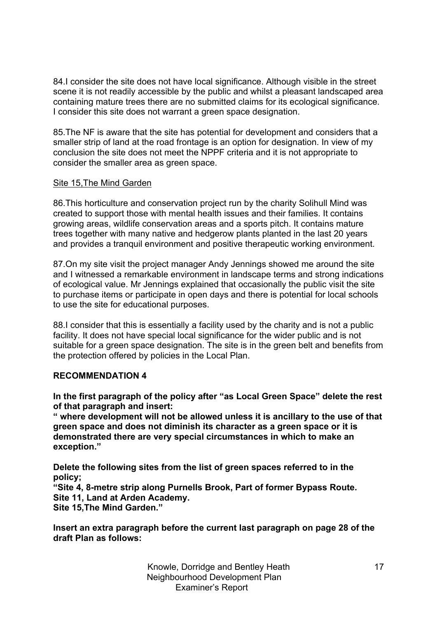84.I consider the site does not have local significance. Although visible in the street scene it is not readily accessible by the public and whilst a pleasant landscaped area containing mature trees there are no submitted claims for its ecological significance. I consider this site does not warrant a green space designation.

85.The NF is aware that the site has potential for development and considers that a smaller strip of land at the road frontage is an option for designation. In view of my conclusion the site does not meet the NPPF criteria and it is not appropriate to consider the smaller area as green space.

#### Site 15,The Mind Garden

86.This horticulture and conservation project run by the charity Solihull Mind was created to support those with mental health issues and their families. It contains growing areas, wildlife conservation areas and a sports pitch. It contains mature trees together with many native and hedgerow plants planted in the last 20 years and provides a tranquil environment and positive therapeutic working environment.

87.On my site visit the project manager Andy Jennings showed me around the site and I witnessed a remarkable environment in landscape terms and strong indications of ecological value. Mr Jennings explained that occasionally the public visit the site to purchase items or participate in open days and there is potential for local schools to use the site for educational purposes.

88.I consider that this is essentially a facility used by the charity and is not a public facility. It does not have special local significance for the wider public and is not suitable for a green space designation. The site is in the green belt and benefits from the protection offered by policies in the Local Plan.

#### **RECOMMENDATION 4**

**In the first paragraph of the policy after "as Local Green Space" delete the rest of that paragraph and insert:**

**" where development will not be allowed unless it is ancillary to the use of that green space and does not diminish its character as a green space or it is demonstrated there are very special circumstances in which to make an exception."**

**Delete the following sites from the list of green spaces referred to in the policy;**

**"Site 4, 8-metre strip along Purnells Brook, Part of former Bypass Route. Site 11, Land at Arden Academy.**

**Site 15,The Mind Garden."**

**Insert an extra paragraph before the current last paragraph on page 28 of the draft Plan as follows:**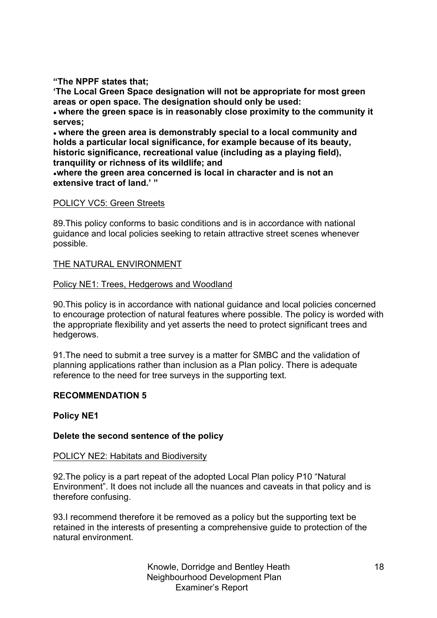**"The NPPF states that;**

**'The Local Green Space designation will not be appropriate for most green areas or open space. The designation should only be used:**

**● where the green space is in reasonably close proximity to the community it serves;**

**● where the green area is demonstrably special to a local community and holds a particular local significance, for example because of its beauty, historic significance, recreational value (including as a playing field), tranquility or richness of its wildlife; and**

**●where the green area concerned is local in character and is not an extensive tract of land.' "**

# POLICY VC5: Green Streets

89.This policy conforms to basic conditions and is in accordance with national guidance and local policies seeking to retain attractive street scenes whenever possible.

# THE NATURAL ENVIRONMENT

# Policy NE1: Trees, Hedgerows and Woodland

90.This policy is in accordance with national guidance and local policies concerned to encourage protection of natural features where possible. The policy is worded with the appropriate flexibility and yet asserts the need to protect significant trees and hedgerows.

91.The need to submit a tree survey is a matter for SMBC and the validation of planning applications rather than inclusion as a Plan policy. There is adequate reference to the need for tree surveys in the supporting text.

# **RECOMMENDATION 5**

# **Policy NE1**

# **Delete the second sentence of the policy**

# POLICY NE2: Habitats and Biodiversity

92.The policy is a part repeat of the adopted Local Plan policy P10 "Natural Environment". It does not include all the nuances and caveats in that policy and is therefore confusing.

93.I recommend therefore it be removed as a policy but the supporting text be retained in the interests of presenting a comprehensive guide to protection of the natural environment.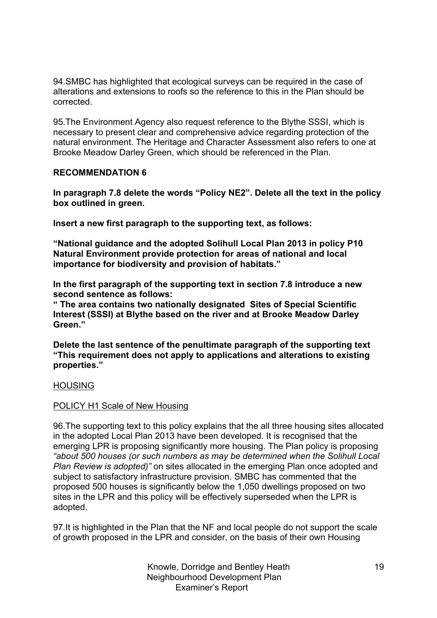94.SMBC has highlighted that ecological surveys can be required in the case of alterations and extensions to roofs so the reference to this in the Plan should be corrected.

95.The Environment Agency also request reference to the Blythe SSSI, which is necessary to present clear and comprehensive advice regarding protection of the natural environment. The Heritage and Character Assessment also refers to one at Brooke Meadow Darley Green, which should be referenced in the Plan.

#### **RECOMMENDATION 6**

**In paragraph 7.8 delete the words "Policy NE2". Delete all the text in the policy box outlined in green.**

**Insert a new first paragraph to the supporting text, as follows:**

**"National guidance and the adopted Solihull Local Plan 2013 in policy P10 Natural Environment provide protection for areas of national and local importance for biodiversity and provision of habitats."**

**In the first paragraph of the supporting text in section 7.8 introduce a new second sentence as follows:**

**" The area contains two nationally designated Sites of Special Scientific Interest (SSSI) at Blythe based on the river and at Brooke Meadow Darley Green."**

**Delete the last sentence of the penultimate paragraph of the supporting text "This requirement does not apply to applications and alterations to existing properties."**

#### **HOUSING**

#### POLICY H1 Scale of New Housing

96.The supporting text to this policy explains that the all three housing sites allocated in the adopted Local Plan 2013 have been developed. It is recognised that the emerging LPR is proposing significantly more housing. The Plan policy is proposing *"about 500 houses (or such numbers as may be determined when the Solihull Local Plan Review is adopted)"* on sites allocated in the emerging Plan once adopted and subject to satisfactory infrastructure provision. SMBC has commented that the proposed 500 houses is significantly below the 1,050 dwellings proposed on two sites in the LPR and this policy will be effectively superseded when the LPR is adopted.

97.It is highlighted in the Plan that the NF and local people do not support the scale of growth proposed in the LPR and consider, on the basis of their own Housing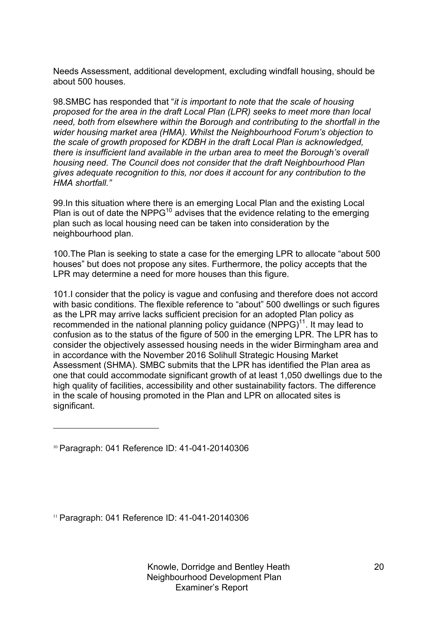Needs Assessment, additional development, excluding windfall housing, should be about 500 houses.

98.SMBC has responded that "*it is important to note that the scale of housing proposed for the area in the draft Local Plan (LPR) seeks to meet more than local need, both from elsewhere within the Borough and contributing to the shortfall in the wider housing market area (HMA). Whilst the Neighbourhood Forum's objection to the scale of growth proposed for KDBH in the draft Local Plan is acknowledged, there is insufficient land available in the urban area to meet the Borough's overall housing need. The Council does not consider that the draft Neighbourhood Plan gives adequate recognition to this, nor does it account for any contribution to the HMA shortfall."*

99.In this situation where there is an emerging Local Plan and the existing Local Plan is out of date the NPPG<sup>10</sup> advises that the evidence relating to the emerging plan such as local housing need can be taken into consideration by the neighbourhood plan.

100.The Plan is seeking to state a case for the emerging LPR to allocate "about 500 houses" but does not propose any sites. Furthermore, the policy accepts that the LPR may determine a need for more houses than this figure.

101.I consider that the policy is vague and confusing and therefore does not accord with basic conditions. The flexible reference to "about" 500 dwellings or such figures as the LPR may arrive lacks sufficient precision for an adopted Plan policy as recommended in the national planning policy guidance  $(NPPG)^{11}$ . It may lead to confusion as to the status of the figure of 500 in the emerging LPR. The LPR has to consider the objectively assessed housing needs in the wider Birmingham area and in accordance with the November 2016 Solihull Strategic Housing Market Assessment (SHMA). SMBC submits that the LPR has identified the Plan area as one that could accommodate significant growth of at least 1,050 dwellings due to the high quality of facilities, accessibility and other sustainability factors. The difference in the scale of housing promoted in the Plan and LPR on allocated sites is significant.

l

<sup>11</sup> Paragraph: 041 Reference ID: 41-041-20140306

<sup>10</sup> Paragraph: 041 Reference ID: 41-041-20140306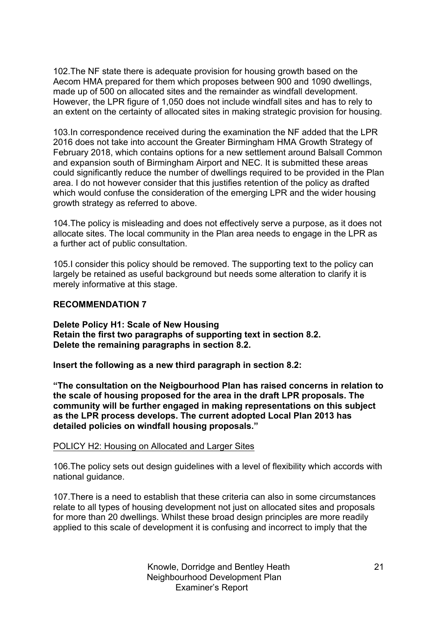102.The NF state there is adequate provision for housing growth based on the Aecom HMA prepared for them which proposes between 900 and 1090 dwellings, made up of 500 on allocated sites and the remainder as windfall development. However, the LPR figure of 1,050 does not include windfall sites and has to rely to an extent on the certainty of allocated sites in making strategic provision for housing.

103.In correspondence received during the examination the NF added that the LPR 2016 does not take into account the Greater Birmingham HMA Growth Strategy of February 2018, which contains options for a new settlement around Balsall Common and expansion south of Birmingham Airport and NEC. It is submitted these areas could significantly reduce the number of dwellings required to be provided in the Plan area. I do not however consider that this justifies retention of the policy as drafted which would confuse the consideration of the emerging LPR and the wider housing growth strategy as referred to above.

104.The policy is misleading and does not effectively serve a purpose, as it does not allocate sites. The local community in the Plan area needs to engage in the LPR as a further act of public consultation.

105.I consider this policy should be removed. The supporting text to the policy can largely be retained as useful background but needs some alteration to clarify it is merely informative at this stage.

## **RECOMMENDATION 7**

**Delete Policy H1: Scale of New Housing Retain the first two paragraphs of supporting text in section 8.2. Delete the remaining paragraphs in section 8.2.**

**Insert the following as a new third paragraph in section 8.2:**

**"The consultation on the Neigbourhood Plan has raised concerns in relation to the scale of housing proposed for the area in the draft LPR proposals. The community will be further engaged in making representations on this subject as the LPR process develops. The current adopted Local Plan 2013 has detailed policies on windfall housing proposals."**

#### POLICY H2: Housing on Allocated and Larger Sites

106.The policy sets out design guidelines with a level of flexibility which accords with national guidance.

107.There is a need to establish that these criteria can also in some circumstances relate to all types of housing development not just on allocated sites and proposals for more than 20 dwellings. Whilst these broad design principles are more readily applied to this scale of development it is confusing and incorrect to imply that the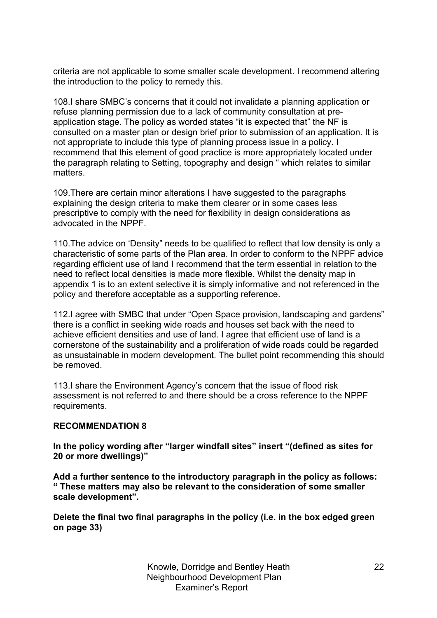criteria are not applicable to some smaller scale development. I recommend altering the introduction to the policy to remedy this.

108.I share SMBC's concerns that it could not invalidate a planning application or refuse planning permission due to a lack of community consultation at preapplication stage. The policy as worded states "it is expected that" the NF is consulted on a master plan or design brief prior to submission of an application. It is not appropriate to include this type of planning process issue in a policy. I recommend that this element of good practice is more appropriately located under the paragraph relating to Setting, topography and design " which relates to similar matters.

109.There are certain minor alterations I have suggested to the paragraphs explaining the design criteria to make them clearer or in some cases less prescriptive to comply with the need for flexibility in design considerations as advocated in the NPPF.

110.The advice on 'Density" needs to be qualified to reflect that low density is only a characteristic of some parts of the Plan area. In order to conform to the NPPF advice regarding efficient use of land I recommend that the term essential in relation to the need to reflect local densities is made more flexible. Whilst the density map in appendix 1 is to an extent selective it is simply informative and not referenced in the policy and therefore acceptable as a supporting reference.

112.I agree with SMBC that under "Open Space provision, landscaping and gardens" there is a conflict in seeking wide roads and houses set back with the need to achieve efficient densities and use of land. I agree that efficient use of land is a cornerstone of the sustainability and a proliferation of wide roads could be regarded as unsustainable in modern development. The bullet point recommending this should be removed.

113.I share the Environment Agency's concern that the issue of flood risk assessment is not referred to and there should be a cross reference to the NPPF requirements.

# **RECOMMENDATION 8**

**In the policy wording after "larger windfall sites" insert "(defined as sites for 20 or more dwellings)"**

**Add a further sentence to the introductory paragraph in the policy as follows: " These matters may also be relevant to the consideration of some smaller scale development".**

**Delete the final two final paragraphs in the policy (i.e. in the box edged green on page 33)**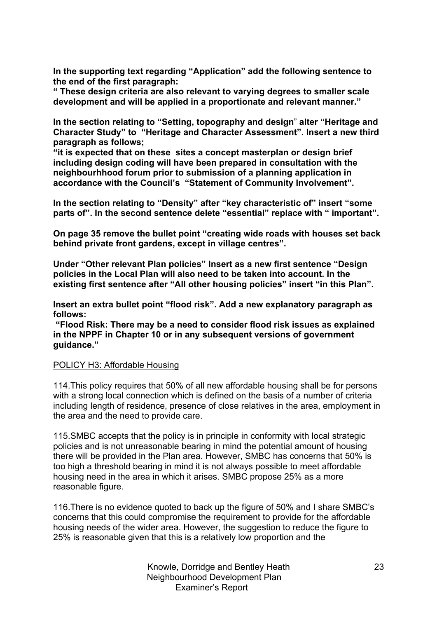**In the supporting text regarding "Application" add the following sentence to the end of the first paragraph:**

**" These design criteria are also relevant to varying degrees to smaller scale development and will be applied in a proportionate and relevant manner."**

**In the section relating to "Setting, topography and design**" **alter "Heritage and Character Study" to "Heritage and Character Assessment". Insert a new third paragraph as follows;**

**"it is expected that on these sites a concept masterplan or design brief including design coding will have been prepared in consultation with the neighbourhhood forum prior to submission of a planning application in accordance with the Council's "Statement of Community Involvement".**

**In the section relating to "Density" after "key characteristic of" insert "some parts of". In the second sentence delete "essential" replace with " important".**

**On page 35 remove the bullet point "creating wide roads with houses set back behind private front gardens, except in village centres".**

**Under "Other relevant Plan policies" Insert as a new first sentence "Design policies in the Local Plan will also need to be taken into account. In the existing first sentence after "All other housing policies" insert "in this Plan".**

**Insert an extra bullet point "flood risk". Add a new explanatory paragraph as follows:**

**"Flood Risk: There may be a need to consider flood risk issues as explained in the NPPF in Chapter 10 or in any subsequent versions of government guidance."**

# POLICY H3: Affordable Housing

114.This policy requires that 50% of all new affordable housing shall be for persons with a strong local connection which is defined on the basis of a number of criteria including length of residence, presence of close relatives in the area, employment in the area and the need to provide care.

115.SMBC accepts that the policy is in principle in conformity with local strategic policies and is not unreasonable bearing in mind the potential amount of housing there will be provided in the Plan area. However, SMBC has concerns that 50% is too high a threshold bearing in mind it is not always possible to meet affordable housing need in the area in which it arises. SMBC propose 25% as a more reasonable figure.

116.There is no evidence quoted to back up the figure of 50% and I share SMBC's concerns that this could compromise the requirement to provide for the affordable housing needs of the wider area. However, the suggestion to reduce the figure to 25% is reasonable given that this is a relatively low proportion and the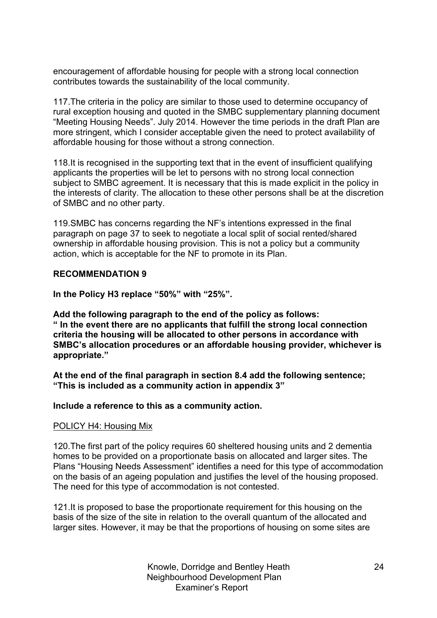encouragement of affordable housing for people with a strong local connection contributes towards the sustainability of the local community.

117.The criteria in the policy are similar to those used to determine occupancy of rural exception housing and quoted in the SMBC supplementary planning document "Meeting Housing Needs". July 2014. However the time periods in the draft Plan are more stringent, which I consider acceptable given the need to protect availability of affordable housing for those without a strong connection.

118.It is recognised in the supporting text that in the event of insufficient qualifying applicants the properties will be let to persons with no strong local connection subject to SMBC agreement. It is necessary that this is made explicit in the policy in the interests of clarity. The allocation to these other persons shall be at the discretion of SMBC and no other party.

119.SMBC has concerns regarding the NF's intentions expressed in the final paragraph on page 37 to seek to negotiate a local split of social rented/shared ownership in affordable housing provision. This is not a policy but a community action, which is acceptable for the NF to promote in its Plan.

#### **RECOMMENDATION 9**

**In the Policy H3 replace "50%" with "25%".**

**Add the following paragraph to the end of the policy as follows: " In the event there are no applicants that fulfill the strong local connection criteria the housing will be allocated to other persons in accordance with SMBC's allocation procedures or an affordable housing provider, whichever is appropriate."**

**At the end of the final paragraph in section 8.4 add the following sentence; "This is included as a community action in appendix 3"**

**Include a reference to this as a community action.**

#### POLICY H4: Housing Mix

120.The first part of the policy requires 60 sheltered housing units and 2 dementia homes to be provided on a proportionate basis on allocated and larger sites. The Plans "Housing Needs Assessment" identifies a need for this type of accommodation on the basis of an ageing population and justifies the level of the housing proposed. The need for this type of accommodation is not contested.

121.It is proposed to base the proportionate requirement for this housing on the basis of the size of the site in relation to the overall quantum of the allocated and larger sites. However, it may be that the proportions of housing on some sites are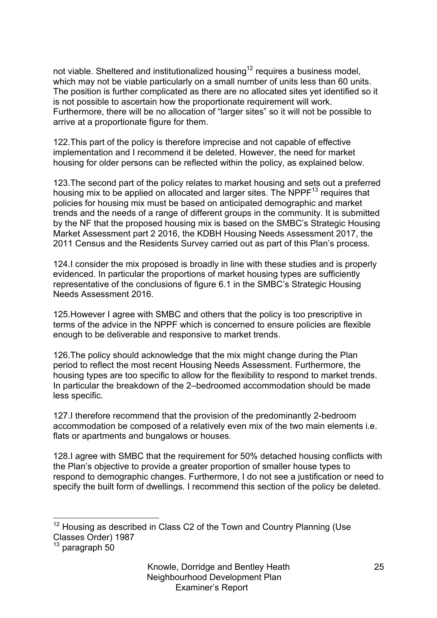not viable. Sheltered and institutionalized housing<sup>12</sup> requires a business model, which may not be viable particularly on a small number of units less than 60 units. The position is further complicated as there are no allocated sites yet identified so it is not possible to ascertain how the proportionate requirement will work. Furthermore, there will be no allocation of "larger sites" so it will not be possible to arrive at a proportionate figure for them.

122.This part of the policy is therefore imprecise and not capable of effective implementation and I recommend it be deleted. However, the need for market housing for older persons can be reflected within the policy, as explained below.

123.The second part of the policy relates to market housing and sets out a preferred housing mix to be applied on allocated and larger sites. The NPP $F<sup>13</sup>$  requires that policies for housing mix must be based on anticipated demographic and market trends and the needs of a range of different groups in the community. It is submitted by the NF that the proposed housing mix is based on the SMBC's Strategic Housing Market Assessment part 2 2016, the KDBH Housing Needs Assessment 2017, the 2011 Census and the Residents Survey carried out as part of this Plan's process.

124.I consider the mix proposed is broadly in line with these studies and is properly evidenced. In particular the proportions of market housing types are sufficiently representative of the conclusions of figure 6.1 in the SMBC's Strategic Housing Needs Assessment 2016.

125.However I agree with SMBC and others that the policy is too prescriptive in terms of the advice in the NPPF which is concerned to ensure policies are flexible enough to be deliverable and responsive to market trends.

126.The policy should acknowledge that the mix might change during the Plan period to reflect the most recent Housing Needs Assessment. Furthermore, the housing types are too specific to allow for the flexibility to respond to market trends. In particular the breakdown of the 2–bedroomed accommodation should be made less specific.

127.I therefore recommend that the provision of the predominantly 2-bedroom accommodation be composed of a relatively even mix of the two main elements i.e. flats or apartments and bungalows or houses.

128.I agree with SMBC that the requirement for 50% detached housing conflicts with the Plan's objective to provide a greater proportion of smaller house types to respond to demographic changes. Furthermore, I do not see a justification or need to specify the built form of dwellings. I recommend this section of the policy be deleted.

 $13$  paragraph 50

 $12$  Housing as described in Class C2 of the Town and Country Planning (Use Classes Order) 1987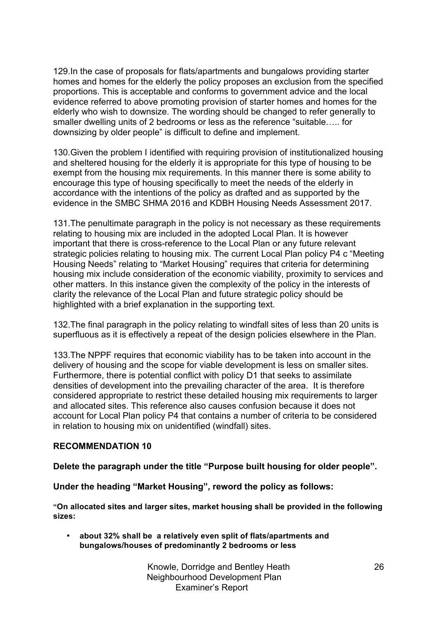129.In the case of proposals for flats/apartments and bungalows providing starter homes and homes for the elderly the policy proposes an exclusion from the specified proportions. This is acceptable and conforms to government advice and the local evidence referred to above promoting provision of starter homes and homes for the elderly who wish to downsize. The wording should be changed to refer generally to smaller dwelling units of 2 bedrooms or less as the reference "suitable….. for downsizing by older people" is difficult to define and implement.

130.Given the problem I identified with requiring provision of institutionalized housing and sheltered housing for the elderly it is appropriate for this type of housing to be exempt from the housing mix requirements. In this manner there is some ability to encourage this type of housing specifically to meet the needs of the elderly in accordance with the intentions of the policy as drafted and as supported by the evidence in the SMBC SHMA 2016 and KDBH Housing Needs Assessment 2017.

131.The penultimate paragraph in the policy is not necessary as these requirements relating to housing mix are included in the adopted Local Plan. It is however important that there is cross-reference to the Local Plan or any future relevant strategic policies relating to housing mix. The current Local Plan policy P4 c "Meeting Housing Needs" relating to "Market Housing" requires that criteria for determining housing mix include consideration of the economic viability, proximity to services and other matters. In this instance given the complexity of the policy in the interests of clarity the relevance of the Local Plan and future strategic policy should be highlighted with a brief explanation in the supporting text.

132.The final paragraph in the policy relating to windfall sites of less than 20 units is superfluous as it is effectively a repeat of the design policies elsewhere in the Plan.

133.The NPPF requires that economic viability has to be taken into account in the delivery of housing and the scope for viable development is less on smaller sites. Furthermore, there is potential conflict with policy D1 that seeks to assimilate densities of development into the prevailing character of the area. It is therefore considered appropriate to restrict these detailed housing mix requirements to larger and allocated sites. This reference also causes confusion because it does not account for Local Plan policy P4 that contains a number of criteria to be considered in relation to housing mix on unidentified (windfall) sites.

# **RECOMMENDATION 10**

**Delete the paragraph under the title "Purpose built housing for older people".**

**Under the heading "Market Housing", reword the policy as follows:**

**"On allocated sites and larger sites, market housing shall be provided in the following sizes:** 

• **about 32% shall be a relatively even split of flats/apartments and bungalows/houses of predominantly 2 bedrooms or less**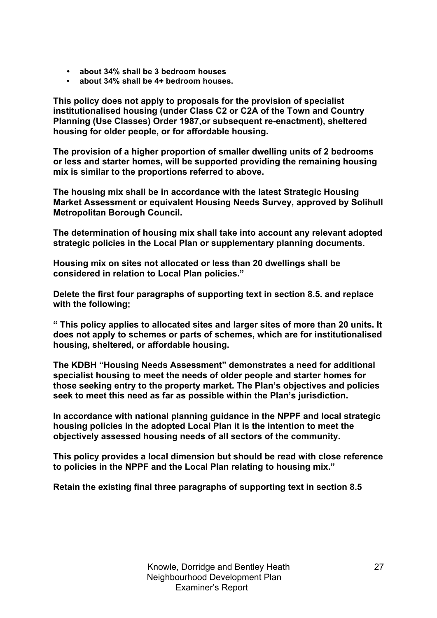- **about 34% shall be 3 bedroom houses**
- **about 34% shall be 4+ bedroom houses.**

**This policy does not apply to proposals for the provision of specialist institutionalised housing (under Class C2 or C2A of the Town and Country Planning (Use Classes) Order 1987,or subsequent re-enactment), sheltered housing for older people, or for affordable housing.**

**The provision of a higher proportion of smaller dwelling units of 2 bedrooms or less and starter homes, will be supported providing the remaining housing mix is similar to the proportions referred to above.**

**The housing mix shall be in accordance with the latest Strategic Housing Market Assessment or equivalent Housing Needs Survey, approved by Solihull Metropolitan Borough Council.**

**The determination of housing mix shall take into account any relevant adopted strategic policies in the Local Plan or supplementary planning documents.**

**Housing mix on sites not allocated or less than 20 dwellings shall be considered in relation to Local Plan policies."**

**Delete the first four paragraphs of supporting text in section 8.5. and replace with the following;**

**" This policy applies to allocated sites and larger sites of more than 20 units. It does not apply to schemes or parts of schemes, which are for institutionalised housing, sheltered, or affordable housing.** 

**The KDBH "Housing Needs Assessment" demonstrates a need for additional specialist housing to meet the needs of older people and starter homes for those seeking entry to the property market. The Plan's objectives and policies seek to meet this need as far as possible within the Plan's jurisdiction.**

**In accordance with national planning guidance in the NPPF and local strategic housing policies in the adopted Local Plan it is the intention to meet the objectively assessed housing needs of all sectors of the community.** 

**This policy provides a local dimension but should be read with close reference to policies in the NPPF and the Local Plan relating to housing mix."**

**Retain the existing final three paragraphs of supporting text in section 8.5**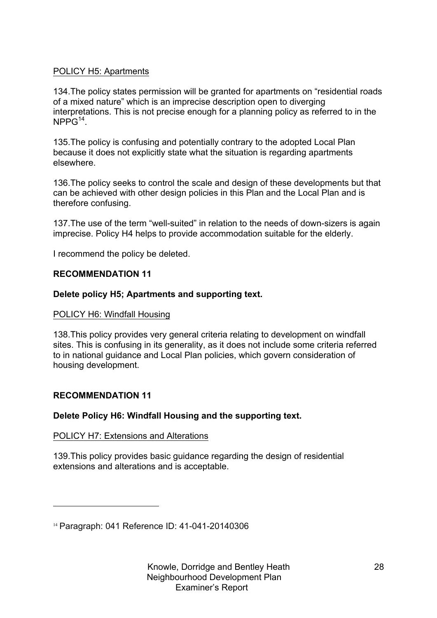# POLICY H5: Apartments

134.The policy states permission will be granted for apartments on "residential roads of a mixed nature" which is an imprecise description open to diverging interpretations. This is not precise enough for a planning policy as referred to in the  $NPPG<sup>14</sup>$ .

135.The policy is confusing and potentially contrary to the adopted Local Plan because it does not explicitly state what the situation is regarding apartments elsewhere.

136.The policy seeks to control the scale and design of these developments but that can be achieved with other design policies in this Plan and the Local Plan and is therefore confusing.

137.The use of the term "well-suited" in relation to the needs of down-sizers is again imprecise. Policy H4 helps to provide accommodation suitable for the elderly.

I recommend the policy be deleted.

# **RECOMMENDATION 11**

# **Delete policy H5; Apartments and supporting text.**

# POLICY H6: Windfall Housing

138.This policy provides very general criteria relating to development on windfall sites. This is confusing in its generality, as it does not include some criteria referred to in national guidance and Local Plan policies, which govern consideration of housing development.

# **RECOMMENDATION 11**

l

# **Delete Policy H6: Windfall Housing and the supporting text.**

# POLICY H7: Extensions and Alterations

139.This policy provides basic guidance regarding the design of residential extensions and alterations and is acceptable.

<sup>14</sup> Paragraph: 041 Reference ID: 41-041-20140306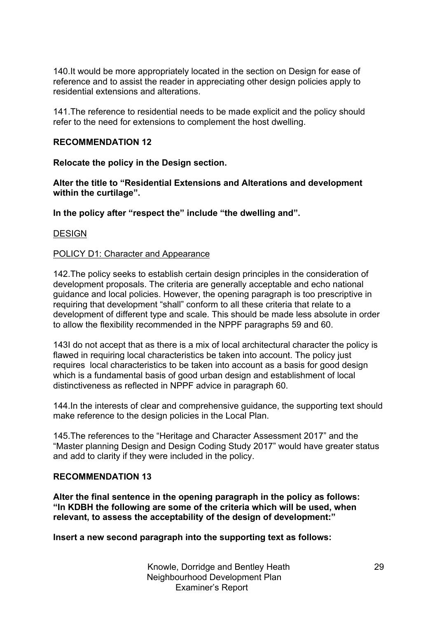140.It would be more appropriately located in the section on Design for ease of reference and to assist the reader in appreciating other design policies apply to residential extensions and alterations.

141.The reference to residential needs to be made explicit and the policy should refer to the need for extensions to complement the host dwelling.

# **RECOMMENDATION 12**

**Relocate the policy in the Design section.**

**Alter the title to "Residential Extensions and Alterations and development within the curtilage".**

**In the policy after "respect the" include "the dwelling and".**

**DESIGN** 

#### POLICY D1: Character and Appearance

142.The policy seeks to establish certain design principles in the consideration of development proposals. The criteria are generally acceptable and echo national guidance and local policies. However, the opening paragraph is too prescriptive in requiring that development "shall" conform to all these criteria that relate to a development of different type and scale. This should be made less absolute in order to allow the flexibility recommended in the NPPF paragraphs 59 and 60.

143I do not accept that as there is a mix of local architectural character the policy is flawed in requiring local characteristics be taken into account. The policy just requires local characteristics to be taken into account as a basis for good design which is a fundamental basis of good urban design and establishment of local distinctiveness as reflected in NPPF advice in paragraph 60.

144.In the interests of clear and comprehensive guidance, the supporting text should make reference to the design policies in the Local Plan.

145.The references to the "Heritage and Character Assessment 2017" and the "Master planning Design and Design Coding Study 2017" would have greater status and add to clarity if they were included in the policy.

#### **RECOMMENDATION 13**

**Alter the final sentence in the opening paragraph in the policy as follows: "In KDBH the following are some of the criteria which will be used, when relevant, to assess the acceptability of the design of development:"**

**Insert a new second paragraph into the supporting text as follows:**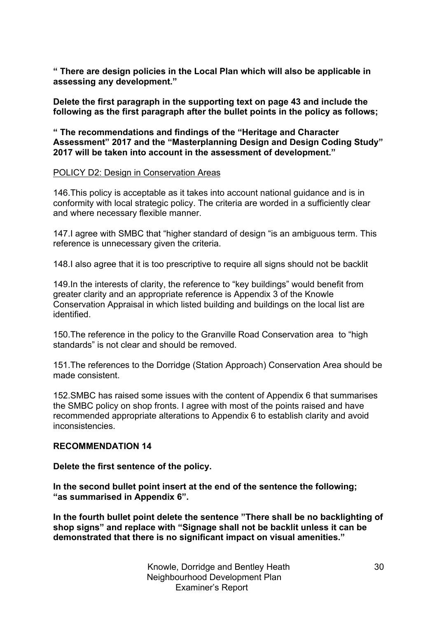**" There are design policies in the Local Plan which will also be applicable in assessing any development."**

**Delete the first paragraph in the supporting text on page 43 and include the following as the first paragraph after the bullet points in the policy as follows;**

**" The recommendations and findings of the "Heritage and Character Assessment" 2017 and the "Masterplanning Design and Design Coding Study" 2017 will be taken into account in the assessment of development."**

#### POLICY D2: Design in Conservation Areas

146.This policy is acceptable as it takes into account national guidance and is in conformity with local strategic policy. The criteria are worded in a sufficiently clear and where necessary flexible manner.

147.I agree with SMBC that "higher standard of design "is an ambiguous term. This reference is unnecessary given the criteria.

148.I also agree that it is too prescriptive to require all signs should not be backlit

149.In the interests of clarity, the reference to "key buildings" would benefit from greater clarity and an appropriate reference is Appendix 3 of the Knowle Conservation Appraisal in which listed building and buildings on the local list are identified.

150.The reference in the policy to the Granville Road Conservation area to "high standards" is not clear and should be removed.

151.The references to the Dorridge (Station Approach) Conservation Area should be made consistent.

152.SMBC has raised some issues with the content of Appendix 6 that summarises the SMBC policy on shop fronts. I agree with most of the points raised and have recommended appropriate alterations to Appendix 6 to establish clarity and avoid inconsistencies.

## **RECOMMENDATION 14**

**Delete the first sentence of the policy.**

**In the second bullet point insert at the end of the sentence the following; "as summarised in Appendix 6".**

**In the fourth bullet point delete the sentence "There shall be no backlighting of shop signs" and replace with "Signage shall not be backlit unless it can be demonstrated that there is no significant impact on visual amenities."**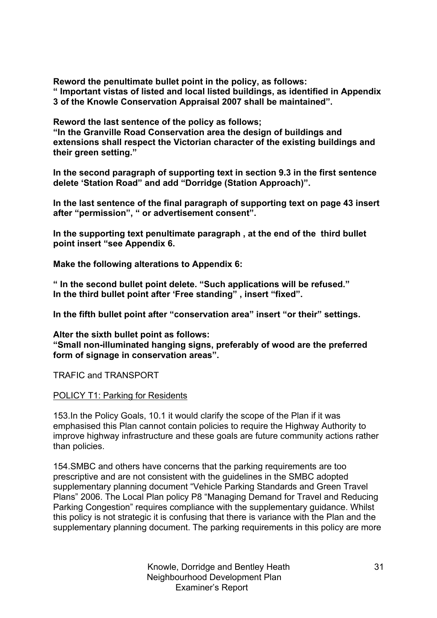**Reword the penultimate bullet point in the policy, as follows:**

**" Important vistas of listed and local listed buildings, as identified in Appendix 3 of the Knowle Conservation Appraisal 2007 shall be maintained".**

**Reword the last sentence of the policy as follows;**

**"In the Granville Road Conservation area the design of buildings and extensions shall respect the Victorian character of the existing buildings and their green setting."**

**In the second paragraph of supporting text in section 9.3 in the first sentence delete 'Station Road" and add "Dorridge (Station Approach)".**

**In the last sentence of the final paragraph of supporting text on page 43 insert after "permission", " or advertisement consent".**

**In the supporting text penultimate paragraph , at the end of the third bullet point insert "see Appendix 6.**

**Make the following alterations to Appendix 6:**

**" In the second bullet point delete. "Such applications will be refused." In the third bullet point after 'Free standing" , insert "fixed".**

**In the fifth bullet point after "conservation area" insert "or their" settings.**

**Alter the sixth bullet point as follows: "Small non-illuminated hanging signs, preferably of wood are the preferred form of signage in conservation areas".**

TRAFIC and TRANSPORT

#### POLICY T1: Parking for Residents

153.In the Policy Goals, 10.1 it would clarify the scope of the Plan if it was emphasised this Plan cannot contain policies to require the Highway Authority to improve highway infrastructure and these goals are future community actions rather than policies.

154.SMBC and others have concerns that the parking requirements are too prescriptive and are not consistent with the guidelines in the SMBC adopted supplementary planning document "Vehicle Parking Standards and Green Travel Plans" 2006. The Local Plan policy P8 "Managing Demand for Travel and Reducing Parking Congestion" requires compliance with the supplementary guidance. Whilst this policy is not strategic it is confusing that there is variance with the Plan and the supplementary planning document. The parking requirements in this policy are more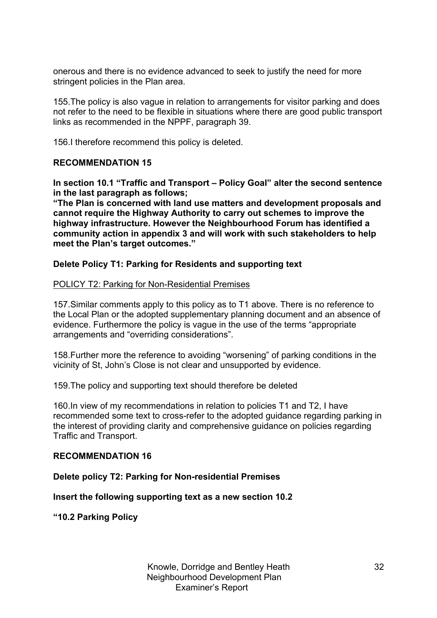onerous and there is no evidence advanced to seek to justify the need for more stringent policies in the Plan area.

155.The policy is also vague in relation to arrangements for visitor parking and does not refer to the need to be flexible in situations where there are good public transport links as recommended in the NPPF, paragraph 39.

156.I therefore recommend this policy is deleted.

# **RECOMMENDATION 15**

**In section 10.1 "Traffic and Transport – Policy Goal" alter the second sentence in the last paragraph as follows;**

**"The Plan is concerned with land use matters and development proposals and cannot require the Highway Authority to carry out schemes to improve the highway infrastructure. However the Neighbourhood Forum has identified a community action in appendix 3 and will work with such stakeholders to help meet the Plan's target outcomes."**

# **Delete Policy T1: Parking for Residents and supporting text**

#### POLICY T2: Parking for Non-Residential Premises

157.Similar comments apply to this policy as to T1 above. There is no reference to the Local Plan or the adopted supplementary planning document and an absence of evidence. Furthermore the policy is vague in the use of the terms "appropriate arrangements and "overriding considerations".

158.Further more the reference to avoiding "worsening" of parking conditions in the vicinity of St, John's Close is not clear and unsupported by evidence.

159.The policy and supporting text should therefore be deleted

160.In view of my recommendations in relation to policies T1 and T2, I have recommended some text to cross-refer to the adopted guidance regarding parking in the interest of providing clarity and comprehensive guidance on policies regarding Traffic and Transport.

#### **RECOMMENDATION 16**

**Delete policy T2: Parking for Non-residential Premises**

**Insert the following supporting text as a new section 10.2**

**"10.2 Parking Policy**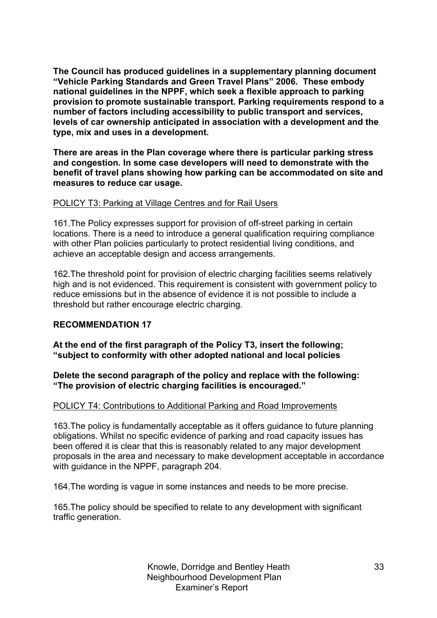**The Council has produced guidelines in a supplementary planning document "Vehicle Parking Standards and Green Travel Plans" 2006. These embody national guidelines in the NPPF, which seek a flexible approach to parking provision to promote sustainable transport. Parking requirements respond to a number of factors including accessibility to public transport and services, levels of car ownership anticipated in association with a development and the type, mix and uses in a development.**

**There are areas in the Plan coverage where there is particular parking stress and congestion. In some case developers will need to demonstrate with the benefit of travel plans showing how parking can be accommodated on site and measures to reduce car usage.**

# POLICY T3: Parking at Village Centres and for Rail Users

161.The Policy expresses support for provision of off-street parking in certain locations. There is a need to introduce a general qualification requiring compliance with other Plan policies particularly to protect residential living conditions, and achieve an acceptable design and access arrangements.

162.The threshold point for provision of electric charging facilities seems relatively high and is not evidenced. This requirement is consistent with government policy to reduce emissions but in the absence of evidence it is not possible to include a threshold but rather encourage electric charging.

# **RECOMMENDATION 17**

**At the end of the first paragraph of the Policy T3, insert the following; "subject to conformity with other adopted national and local policies**

**Delete the second paragraph of the policy and replace with the following: "The provision of electric charging facilities is encouraged."**

# POLICY T4: Contributions to Additional Parking and Road Improvements

163.The policy is fundamentally acceptable as it offers guidance to future planning obligations. Whilst no specific evidence of parking and road capacity issues has been offered it is clear that this is reasonably related to any major development proposals in the area and necessary to make development acceptable in accordance with guidance in the NPPF, paragraph 204.

164.The wording is vague in some instances and needs to be more precise.

165.The policy should be specified to relate to any development with significant traffic generation.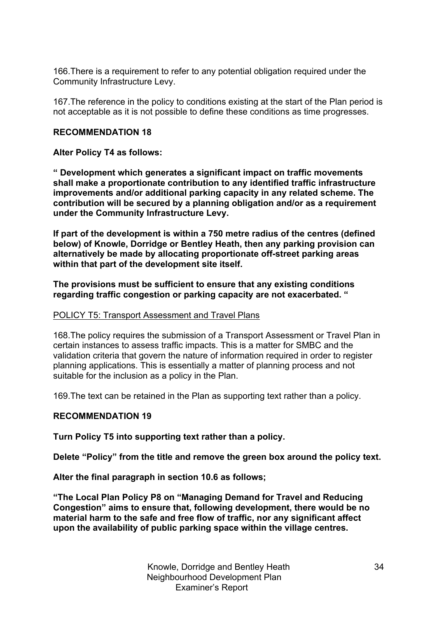166.There is a requirement to refer to any potential obligation required under the Community Infrastructure Levy.

167.The reference in the policy to conditions existing at the start of the Plan period is not acceptable as it is not possible to define these conditions as time progresses.

## **RECOMMENDATION 18**

#### **Alter Policy T4 as follows:**

**" Development which generates a significant impact on traffic movements shall make a proportionate contribution to any identified traffic infrastructure improvements and/or additional parking capacity in any related scheme. The contribution will be secured by a planning obligation and/or as a requirement under the Community Infrastructure Levy.**

**If part of the development is within a 750 metre radius of the centres (defined below) of Knowle, Dorridge or Bentley Heath, then any parking provision can alternatively be made by allocating proportionate off-street parking areas within that part of the development site itself.** 

**The provisions must be sufficient to ensure that any existing conditions regarding traffic congestion or parking capacity are not exacerbated. "**

#### POLICY T5: Transport Assessment and Travel Plans

168.The policy requires the submission of a Transport Assessment or Travel Plan in certain instances to assess traffic impacts. This is a matter for SMBC and the validation criteria that govern the nature of information required in order to register planning applications. This is essentially a matter of planning process and not suitable for the inclusion as a policy in the Plan.

169.The text can be retained in the Plan as supporting text rather than a policy.

# **RECOMMENDATION 19**

**Turn Policy T5 into supporting text rather than a policy.**

**Delete "Policy" from the title and remove the green box around the policy text.**

**Alter the final paragraph in section 10.6 as follows;**

**"The Local Plan Policy P8 on "Managing Demand for Travel and Reducing Congestion" aims to ensure that, following development, there would be no material harm to the safe and free flow of traffic, nor any significant affect upon the availability of public parking space within the village centres.**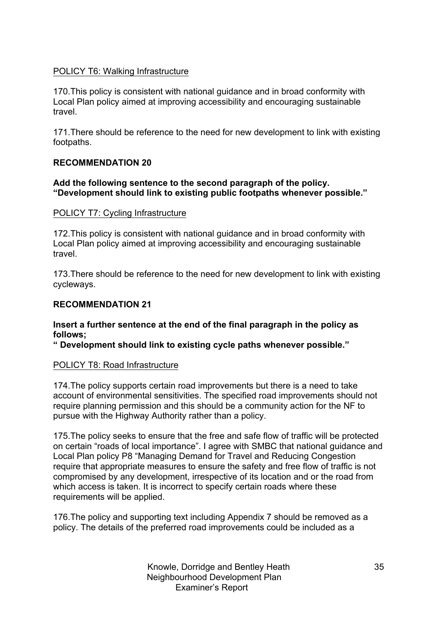# POLICY T6: Walking Infrastructure

170.This policy is consistent with national guidance and in broad conformity with Local Plan policy aimed at improving accessibility and encouraging sustainable travel.

171.There should be reference to the need for new development to link with existing footpaths.

# **RECOMMENDATION 20**

# **Add the following sentence to the second paragraph of the policy. "Development should link to existing public footpaths whenever possible."**

# POLICY T7: Cycling Infrastructure

172.This policy is consistent with national guidance and in broad conformity with Local Plan policy aimed at improving accessibility and encouraging sustainable travel.

173.There should be reference to the need for new development to link with existing cycleways.

# **RECOMMENDATION 21**

# **Insert a further sentence at the end of the final paragraph in the policy as follows;**

**" Development should link to existing cycle paths whenever possible."**

# POLICY T8: Road Infrastructure

174.The policy supports certain road improvements but there is a need to take account of environmental sensitivities. The specified road improvements should not require planning permission and this should be a community action for the NF to pursue with the Highway Authority rather than a policy.

175.The policy seeks to ensure that the free and safe flow of traffic will be protected on certain "roads of local importance". I agree with SMBC that national guidance and Local Plan policy P8 "Managing Demand for Travel and Reducing Congestion require that appropriate measures to ensure the safety and free flow of traffic is not compromised by any development, irrespective of its location and or the road from which access is taken. It is incorrect to specify certain roads where these requirements will be applied.

176.The policy and supporting text including Appendix 7 should be removed as a policy. The details of the preferred road improvements could be included as a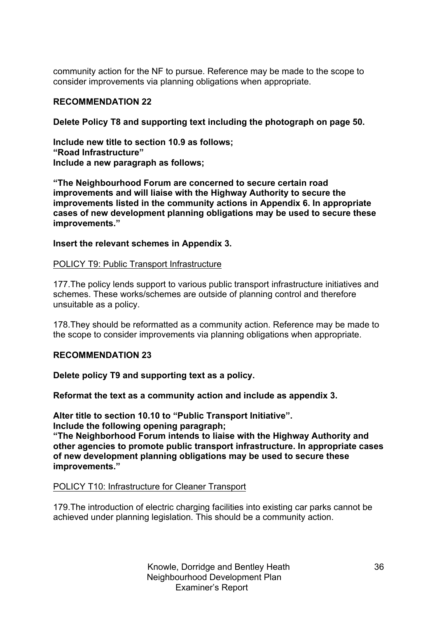community action for the NF to pursue. Reference may be made to the scope to consider improvements via planning obligations when appropriate.

# **RECOMMENDATION 22**

**Delete Policy T8 and supporting text including the photograph on page 50.**

**Include new title to section 10.9 as follows; "Road Infrastructure" Include a new paragraph as follows;**

**"The Neighbourhood Forum are concerned to secure certain road improvements and will liaise with the Highway Authority to secure the improvements listed in the community actions in Appendix 6. In appropriate cases of new development planning obligations may be used to secure these improvements."**

# **Insert the relevant schemes in Appendix 3.**

# POLICY T9: Public Transport Infrastructure

177.The policy lends support to various public transport infrastructure initiatives and schemes. These works/schemes are outside of planning control and therefore unsuitable as a policy.

178.They should be reformatted as a community action. Reference may be made to the scope to consider improvements via planning obligations when appropriate.

# **RECOMMENDATION 23**

**Delete policy T9 and supporting text as a policy.**

**Reformat the text as a community action and include as appendix 3.** 

**Alter title to section 10.10 to "Public Transport Initiative".**

**Include the following opening paragraph;**

**"The Neighborhood Forum intends to liaise with the Highway Authority and other agencies to promote public transport infrastructure. In appropriate cases of new development planning obligations may be used to secure these improvements."**

# POLICY T10: Infrastructure for Cleaner Transport

179.The introduction of electric charging facilities into existing car parks cannot be achieved under planning legislation. This should be a community action.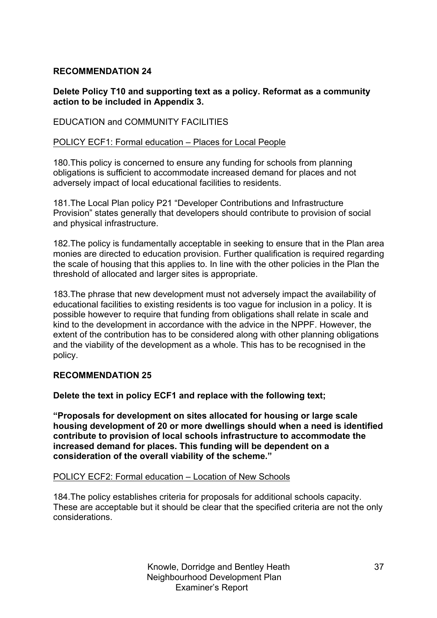# **RECOMMENDATION 24**

# **Delete Policy T10 and supporting text as a policy. Reformat as a community action to be included in Appendix 3.**

# EDUCATION and COMMUNITY FACILITIES

# POLICY ECF1: Formal education – Places for Local People

180.This policy is concerned to ensure any funding for schools from planning obligations is sufficient to accommodate increased demand for places and not adversely impact of local educational facilities to residents.

181.The Local Plan policy P21 "Developer Contributions and Infrastructure Provision" states generally that developers should contribute to provision of social and physical infrastructure.

182.The policy is fundamentally acceptable in seeking to ensure that in the Plan area monies are directed to education provision. Further qualification is required regarding the scale of housing that this applies to. In line with the other policies in the Plan the threshold of allocated and larger sites is appropriate.

183.The phrase that new development must not adversely impact the availability of educational facilities to existing residents is too vague for inclusion in a policy. It is possible however to require that funding from obligations shall relate in scale and kind to the development in accordance with the advice in the NPPF. However, the extent of the contribution has to be considered along with other planning obligations and the viability of the development as a whole. This has to be recognised in the policy.

# **RECOMMENDATION 25**

**Delete the text in policy ECF1 and replace with the following text;**

**"Proposals for development on sites allocated for housing or large scale housing development of 20 or more dwellings should when a need is identified contribute to provision of local schools infrastructure to accommodate the increased demand for places. This funding will be dependent on a consideration of the overall viability of the scheme."**

#### POLICY ECF2: Formal education – Location of New Schools

184.The policy establishes criteria for proposals for additional schools capacity. These are acceptable but it should be clear that the specified criteria are not the only considerations.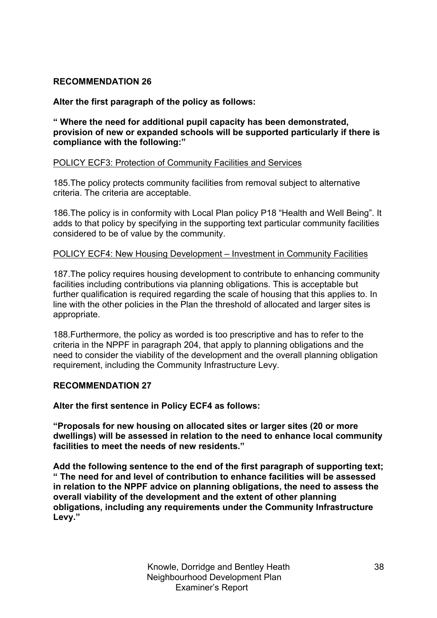# **RECOMMENDATION 26**

# **Alter the first paragraph of the policy as follows:**

**" Where the need for additional pupil capacity has been demonstrated, provision of new or expanded schools will be supported particularly if there is compliance with the following:"**

# POLICY ECF3: Protection of Community Facilities and Services

185.The policy protects community facilities from removal subject to alternative criteria. The criteria are acceptable.

186.The policy is in conformity with Local Plan policy P18 "Health and Well Being". It adds to that policy by specifying in the supporting text particular community facilities considered to be of value by the community.

# POLICY ECF4: New Housing Development – Investment in Community Facilities

187.The policy requires housing development to contribute to enhancing community facilities including contributions via planning obligations. This is acceptable but further qualification is required regarding the scale of housing that this applies to. In line with the other policies in the Plan the threshold of allocated and larger sites is appropriate.

188.Furthermore, the policy as worded is too prescriptive and has to refer to the criteria in the NPPF in paragraph 204, that apply to planning obligations and the need to consider the viability of the development and the overall planning obligation requirement, including the Community Infrastructure Levy.

# **RECOMMENDATION 27**

#### **Alter the first sentence in Policy ECF4 as follows:**

**"Proposals for new housing on allocated sites or larger sites (20 or more dwellings) will be assessed in relation to the need to enhance local community facilities to meet the needs of new residents."**

**Add the following sentence to the end of the first paragraph of supporting text; " The need for and level of contribution to enhance facilities will be assessed in relation to the NPPF advice on planning obligations, the need to assess the overall viability of the development and the extent of other planning obligations, including any requirements under the Community Infrastructure Levy."**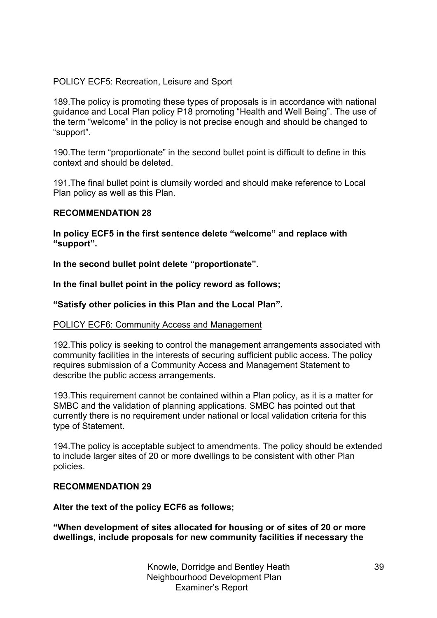# POLICY ECF5: Recreation, Leisure and Sport

189.The policy is promoting these types of proposals is in accordance with national guidance and Local Plan policy P18 promoting "Health and Well Being". The use of the term "welcome" in the policy is not precise enough and should be changed to "support".

190.The term "proportionate" in the second bullet point is difficult to define in this context and should be deleted.

191.The final bullet point is clumsily worded and should make reference to Local Plan policy as well as this Plan.

# **RECOMMENDATION 28**

**In policy ECF5 in the first sentence delete "welcome" and replace with "support".**

**In the second bullet point delete "proportionate".**

**In the final bullet point in the policy reword as follows;**

**"Satisfy other policies in this Plan and the Local Plan".**

#### POLICY ECF6: Community Access and Management

192.This policy is seeking to control the management arrangements associated with community facilities in the interests of securing sufficient public access. The policy requires submission of a Community Access and Management Statement to describe the public access arrangements.

193.This requirement cannot be contained within a Plan policy, as it is a matter for SMBC and the validation of planning applications. SMBC has pointed out that currently there is no requirement under national or local validation criteria for this type of Statement.

194.The policy is acceptable subject to amendments. The policy should be extended to include larger sites of 20 or more dwellings to be consistent with other Plan policies.

#### **RECOMMENDATION 29**

**Alter the text of the policy ECF6 as follows;**

**"When development of sites allocated for housing or of sites of 20 or more dwellings, include proposals for new community facilities if necessary the**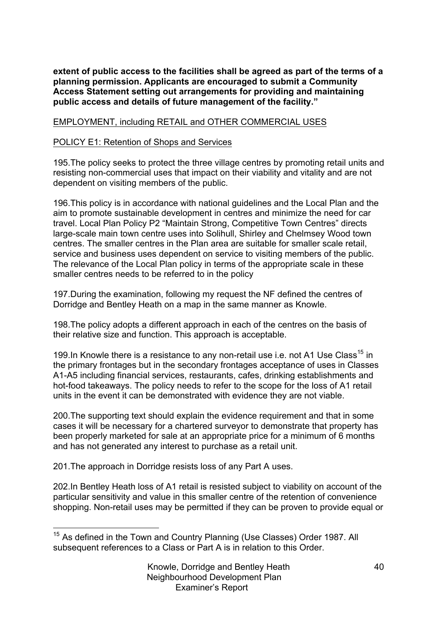**extent of public access to the facilities shall be agreed as part of the terms of a planning permission. Applicants are encouraged to submit a Community Access Statement setting out arrangements for providing and maintaining public access and details of future management of the facility."**

# EMPLOYMENT, including RETAIL and OTHER COMMERCIAL USES

# POLICY E1: Retention of Shops and Services

195.The policy seeks to protect the three village centres by promoting retail units and resisting non-commercial uses that impact on their viability and vitality and are not dependent on visiting members of the public.

196.This policy is in accordance with national guidelines and the Local Plan and the aim to promote sustainable development in centres and minimize the need for car travel. Local Plan Policy P2 "Maintain Strong, Competitive Town Centres" directs large-scale main town centre uses into Solihull, Shirley and Chelmsey Wood town centres. The smaller centres in the Plan area are suitable for smaller scale retail, service and business uses dependent on service to visiting members of the public. The relevance of the Local Plan policy in terms of the appropriate scale in these smaller centres needs to be referred to in the policy

197.During the examination, following my request the NF defined the centres of Dorridge and Bentley Heath on a map in the same manner as Knowle.

198.The policy adopts a different approach in each of the centres on the basis of their relative size and function. This approach is acceptable.

199. In Knowle there is a resistance to any non-retail use i.e. not A1 Use Class<sup>15</sup> in the primary frontages but in the secondary frontages acceptance of uses in Classes A1-A5 including financial services, restaurants, cafes, drinking establishments and hot-food takeaways. The policy needs to refer to the scope for the loss of A1 retail units in the event it can be demonstrated with evidence they are not viable.

200.The supporting text should explain the evidence requirement and that in some cases it will be necessary for a chartered surveyor to demonstrate that property has been properly marketed for sale at an appropriate price for a minimum of 6 months and has not generated any interest to purchase as a retail unit.

201.The approach in Dorridge resists loss of any Part A uses.

202.In Bentley Heath loss of A1 retail is resisted subject to viability on account of the particular sensitivity and value in this smaller centre of the retention of convenience shopping. Non-retail uses may be permitted if they can be proven to provide equal or

<sup>&</sup>lt;sup>15</sup> As defined in the Town and Country Planning (Use Classes) Order 1987. All subsequent references to a Class or Part A is in relation to this Order.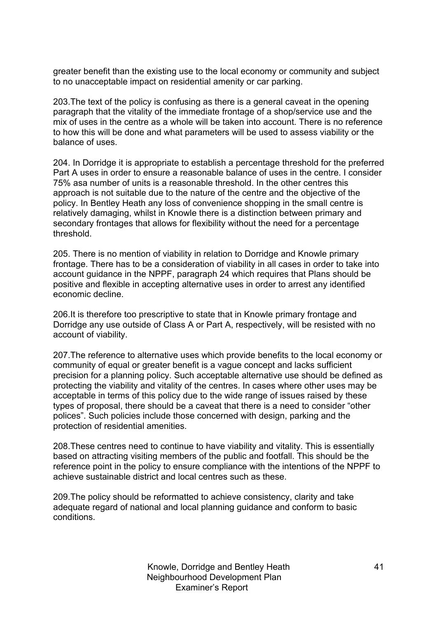greater benefit than the existing use to the local economy or community and subject to no unacceptable impact on residential amenity or car parking.

203.The text of the policy is confusing as there is a general caveat in the opening paragraph that the vitality of the immediate frontage of a shop/service use and the mix of uses in the centre as a whole will be taken into account. There is no reference to how this will be done and what parameters will be used to assess viability or the balance of uses.

204. In Dorridge it is appropriate to establish a percentage threshold for the preferred Part A uses in order to ensure a reasonable balance of uses in the centre. I consider 75% asa number of units is a reasonable threshold. In the other centres this approach is not suitable due to the nature of the centre and the objective of the policy. In Bentley Heath any loss of convenience shopping in the small centre is relatively damaging, whilst in Knowle there is a distinction between primary and secondary frontages that allows for flexibility without the need for a percentage threshold.

205. There is no mention of viability in relation to Dorridge and Knowle primary frontage. There has to be a consideration of viability in all cases in order to take into account guidance in the NPPF, paragraph 24 which requires that Plans should be positive and flexible in accepting alternative uses in order to arrest any identified economic decline.

206.It is therefore too prescriptive to state that in Knowle primary frontage and Dorridge any use outside of Class A or Part A, respectively, will be resisted with no account of viability.

207.The reference to alternative uses which provide benefits to the local economy or community of equal or greater benefit is a vague concept and lacks sufficient precision for a planning policy. Such acceptable alternative use should be defined as protecting the viability and vitality of the centres. In cases where other uses may be acceptable in terms of this policy due to the wide range of issues raised by these types of proposal, there should be a caveat that there is a need to consider "other polices". Such policies include those concerned with design, parking and the protection of residential amenities.

208.These centres need to continue to have viability and vitality. This is essentially based on attracting visiting members of the public and footfall. This should be the reference point in the policy to ensure compliance with the intentions of the NPPF to achieve sustainable district and local centres such as these.

209.The policy should be reformatted to achieve consistency, clarity and take adequate regard of national and local planning guidance and conform to basic conditions.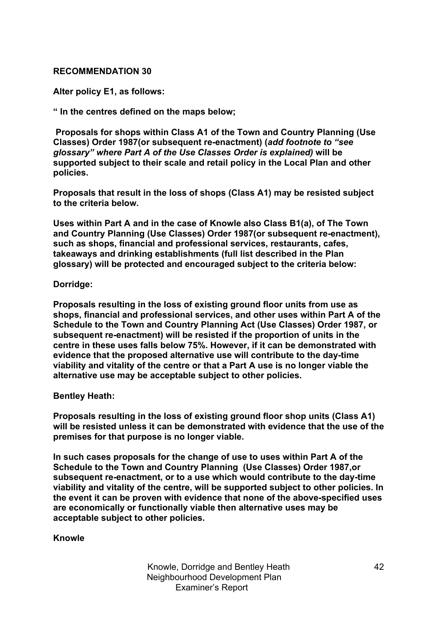#### **RECOMMENDATION 30**

**Alter policy E1, as follows:**

**" In the centres defined on the maps below;**

**Proposals for shops within Class A1 of the Town and Country Planning (Use Classes) Order 1987(or subsequent re-enactment) (***add footnote to "see glossary" where Part A of the Use Classes Order is explained)* **will be supported subject to their scale and retail policy in the Local Plan and other policies.** 

**Proposals that result in the loss of shops (Class A1) may be resisted subject to the criteria below.** 

**Uses within Part A and in the case of Knowle also Class B1(a), of The Town and Country Planning (Use Classes) Order 1987(or subsequent re-enactment), such as shops, financial and professional services, restaurants, cafes, takeaways and drinking establishments (full list described in the Plan glossary) will be protected and encouraged subject to the criteria below:**

#### **Dorridge:**

**Proposals resulting in the loss of existing ground floor units from use as shops, financial and professional services, and other uses within Part A of the Schedule to the Town and Country Planning Act (Use Classes) Order 1987, or subsequent re-enactment) will be resisted if the proportion of units in the centre in these uses falls below 75%. However, if it can be demonstrated with evidence that the proposed alternative use will contribute to the day-time viability and vitality of the centre or that a Part A use is no longer viable the alternative use may be acceptable subject to other policies.**

#### **Bentley Heath:**

**Proposals resulting in the loss of existing ground floor shop units (Class A1) will be resisted unless it can be demonstrated with evidence that the use of the premises for that purpose is no longer viable.** 

**In such cases proposals for the change of use to uses within Part A of the Schedule to the Town and Country Planning (Use Classes) Order 1987,or subsequent re-enactment, or to a use which would contribute to the day-time viability and vitality of the centre, will be supported subject to other policies. In the event it can be proven with evidence that none of the above-specified uses are economically or functionally viable then alternative uses may be acceptable subject to other policies.**

**Knowle**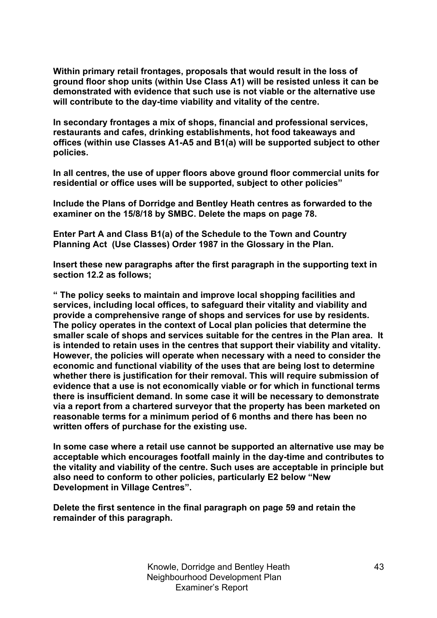**Within primary retail frontages, proposals that would result in the loss of ground floor shop units (within Use Class A1) will be resisted unless it can be demonstrated with evidence that such use is not viable or the alternative use will contribute to the day-time viability and vitality of the centre.**

**In secondary frontages a mix of shops, financial and professional services, restaurants and cafes, drinking establishments, hot food takeaways and offices (within use Classes A1-A5 and B1(a) will be supported subject to other policies.**

**In all centres, the use of upper floors above ground floor commercial units for residential or office uses will be supported, subject to other policies"**

**Include the Plans of Dorridge and Bentley Heath centres as forwarded to the examiner on the 15/8/18 by SMBC. Delete the maps on page 78.**

**Enter Part A and Class B1(a) of the Schedule to the Town and Country Planning Act (Use Classes) Order 1987 in the Glossary in the Plan.**

**Insert these new paragraphs after the first paragraph in the supporting text in section 12.2 as follows;**

**" The policy seeks to maintain and improve local shopping facilities and services, including local offices, to safeguard their vitality and viability and provide a comprehensive range of shops and services for use by residents. The policy operates in the context of Local plan policies that determine the smaller scale of shops and services suitable for the centres in the Plan area. It is intended to retain uses in the centres that support their viability and vitality. However, the policies will operate when necessary with a need to consider the economic and functional viability of the uses that are being lost to determine whether there is justification for their removal. This will require submission of evidence that a use is not economically viable or for which in functional terms there is insufficient demand. In some case it will be necessary to demonstrate via a report from a chartered surveyor that the property has been marketed on reasonable terms for a minimum period of 6 months and there has been no written offers of purchase for the existing use.**

**In some case where a retail use cannot be supported an alternative use may be acceptable which encourages footfall mainly in the day-time and contributes to the vitality and viability of the centre. Such uses are acceptable in principle but also need to conform to other policies, particularly E2 below "New Development in Village Centres".** 

**Delete the first sentence in the final paragraph on page 59 and retain the remainder of this paragraph.**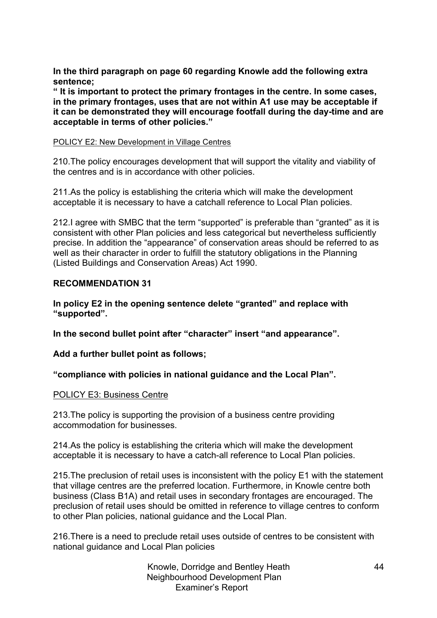**In the third paragraph on page 60 regarding Knowle add the following extra sentence;**

**" It is important to protect the primary frontages in the centre. In some cases, in the primary frontages, uses that are not within A1 use may be acceptable if it can be demonstrated they will encourage footfall during the day-time and are acceptable in terms of other policies."**

#### POLICY E2: New Development in Village Centres

210.The policy encourages development that will support the vitality and viability of the centres and is in accordance with other policies.

211.As the policy is establishing the criteria which will make the development acceptable it is necessary to have a catchall reference to Local Plan policies.

212.I agree with SMBC that the term "supported" is preferable than "granted" as it is consistent with other Plan policies and less categorical but nevertheless sufficiently precise. In addition the "appearance" of conservation areas should be referred to as well as their character in order to fulfill the statutory obligations in the Planning (Listed Buildings and Conservation Areas) Act 1990.

# **RECOMMENDATION 31**

**In policy E2 in the opening sentence delete "granted" and replace with "supported".**

**In the second bullet point after "character" insert "and appearance".**

**Add a further bullet point as follows;**

**"compliance with policies in national guidance and the Local Plan".**

#### POLICY E3: Business Centre

213.The policy is supporting the provision of a business centre providing accommodation for businesses.

214.As the policy is establishing the criteria which will make the development acceptable it is necessary to have a catch-all reference to Local Plan policies.

215.The preclusion of retail uses is inconsistent with the policy E1 with the statement that village centres are the preferred location. Furthermore, in Knowle centre both business (Class B1A) and retail uses in secondary frontages are encouraged. The preclusion of retail uses should be omitted in reference to village centres to conform to other Plan policies, national guidance and the Local Plan.

216.There is a need to preclude retail uses outside of centres to be consistent with national guidance and Local Plan policies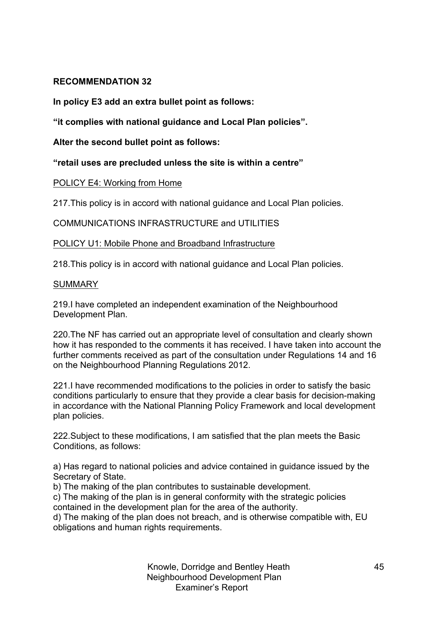# **RECOMMENDATION 32**

**In policy E3 add an extra bullet point as follows:**

**"it complies with national guidance and Local Plan policies".**

**Alter the second bullet point as follows:**

**"retail uses are precluded unless the site is within a centre"**

# POLICY E4: Working from Home

217.This policy is in accord with national guidance and Local Plan policies.

COMMUNICATIONS INFRASTRUCTURE and UTILITIES

POLICY U1: Mobile Phone and Broadband Infrastructure

218.This policy is in accord with national guidance and Local Plan policies.

# **SUMMARY**

219.I have completed an independent examination of the Neighbourhood Development Plan.

220.The NF has carried out an appropriate level of consultation and clearly shown how it has responded to the comments it has received. I have taken into account the further comments received as part of the consultation under Regulations 14 and 16 on the Neighbourhood Planning Regulations 2012.

221.I have recommended modifications to the policies in order to satisfy the basic conditions particularly to ensure that they provide a clear basis for decision-making in accordance with the National Planning Policy Framework and local development plan policies.

222.Subject to these modifications, I am satisfied that the plan meets the Basic Conditions, as follows:

a) Has regard to national policies and advice contained in guidance issued by the Secretary of State.

b) The making of the plan contributes to sustainable development.

c) The making of the plan is in general conformity with the strategic policies contained in the development plan for the area of the authority.

d) The making of the plan does not breach, and is otherwise compatible with, EU obligations and human rights requirements.